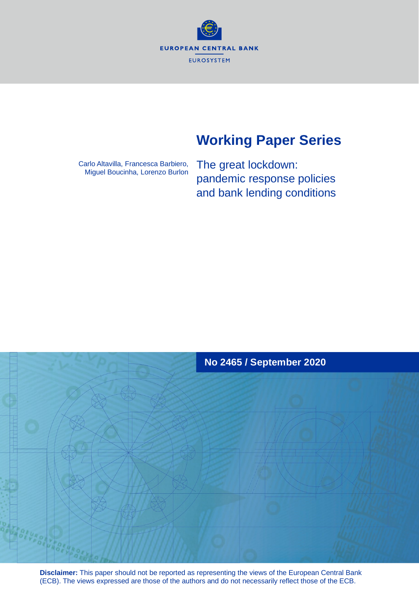**EUROPEAN CENTRAL BANK EUROSYSTEM** 

# **Working Paper Series**

Carlo Altavilla, Francesca Barbiero, Miguel Boucinha, Lorenzo Burlon The great lockdown: pandemic response policies and bank lending conditions



**Disclaimer:** This paper should not be reported as representing the views of the European Central Bank (ECB). The views expressed are those of the authors and do not necessarily reflect those of the ECB.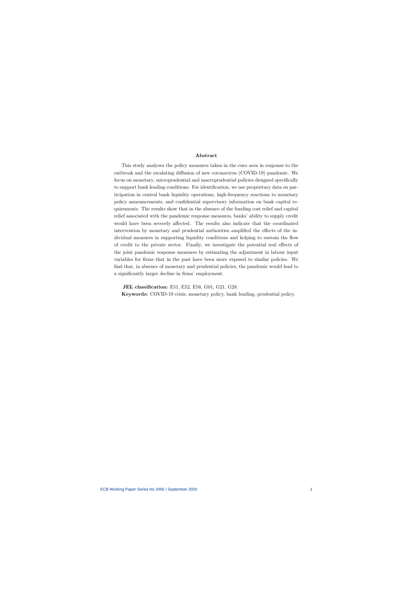#### Abstract

This study analyses the policy measures taken in the euro area in response to the outbreak and the escalating diffusion of new coronavirus (COVID-19) pandemic. We focus on monetary, microprudential and macroprudential policies designed specifically to support bank lending conditions. For identification, we use proprietary data on participation in central bank liquidity operations, high-frequency reactions to monetary policy announcements, and confidential supervisory information on bank capital requirements. The results show that in the absence of the funding cost relief and capital relief associated with the pandemic response measures, banks' ability to supply credit would have been severely affected. The results also indicate that the coordinated intervention by monetary and prudential authorities amplified the effects of the individual measures in supporting liquidity conditions and helping to sustain the flow of credit to the private sector. Finally, we investigate the potential real effects of the joint pandemic response measures by estimating the adjustment in labour input variables for firms that in the past have been more exposed to similar policies. We find that, in absence of monetary and prudential policies, the pandemic would lead to a significantly larger decline in firms' employment.

JEL classification: E51, E52, E58, G01, G21, G28.

Keywords: COVID-19 crisis, monetary policy, bank lending, prudential policy.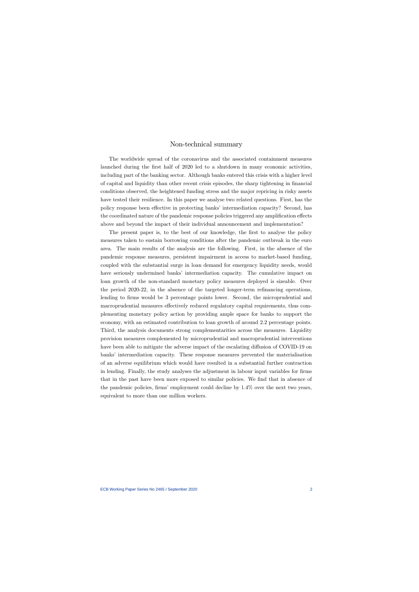### Non-technical summary

The worldwide spread of the coronavirus and the associated containment measures launched during the first half of 2020 led to a shutdown in many economic activities, including part of the banking sector. Although banks entered this crisis with a higher level of capital and liquidity than other recent crisis episodes, the sharp tightening in financial conditions observed, the heightened funding stress and the major repricing in risky assets have tested their resilience. In this paper we analyse two related questions. First, has the policy response been effective in protecting banks' intermediation capacity? Second, has the coordinated nature of the pandemic response policies triggered any amplification effects above and beyond the impact of their individual announcement and implementation?

The present paper is, to the best of our knowledge, the first to analyse the policy measures taken to sustain borrowing conditions after the pandemic outbreak in the euro area. The main results of the analysis are the following. First, in the absence of the pandemic response measures, persistent impairment in access to market-based funding, coupled with the substantial surge in loan demand for emergency liquidity needs, would have seriously undermined banks' intermediation capacity. The cumulative impact on loan growth of the non-standard monetary policy measures deployed is sizeable. Over the period 2020-22, in the absence of the targeted longer-term refinancing operations, lending to firms would be 3 percentage points lower. Second, the microprudential and macroprudential measures effectively reduced regulatory capital requirements, thus complementing monetary policy action by providing ample space for banks to support the economy, with an estimated contribution to loan growth of around 22 percentage points. Third, the analysis documents strong complementarities across the measures. Liquidity provision measures complemented by microprudential and macroprudential interventions have been able to mitigate the adverse impact of the escalating diffusion of COVID-19 on banks' intermediation capacity. These response measures prevented the materialisation of an adverse equilibrium which would have resulted in a substantial further contraction in lending. Finally, the study analyses the adjustment in labour input variables for firms that in the past have been more exposed to similar policies. We find that in absence of the pandemic policies, firms' employment could decline by 14% over the next two years, equivalent to more than one million workers.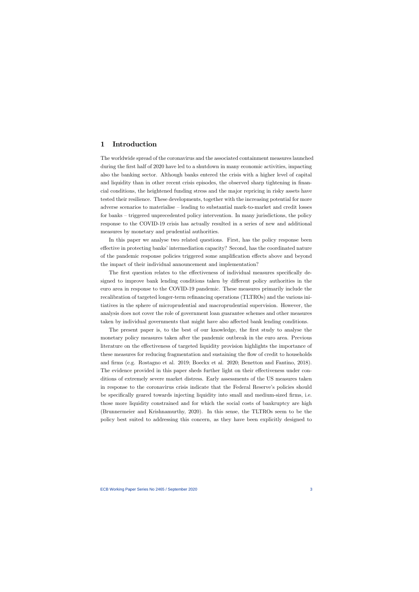### 1 Introduction

The worldwide spread of the coronavirus and the associated containment measures launched during the first half of 2020 have led to a shutdown in many economic activities, impacting also the banking sector. Although banks entered the crisis with a higher level of capital and liquidity than in other recent crisis episodes, the observed sharp tightening in financial conditions, the heightened funding stress and the major repricing in risky assets have tested their resilience. These developments, together with the increasing potential for more adverse scenarios to materialise — leading to substantial mark-to-market and credit losses for banks — triggered unprecedented policy intervention. In many jurisdictions, the policy response to the COVID-19 crisis has actually resulted in a series of new and additional measures by monetary and prudential authorities.

In this paper we analyse two related questions. First, has the policy response been effective in protecting banks' intermediation capacity? Second, has the coordinated nature of the pandemic response policies triggered some amplification effects above and beyond the impact of their individual announcement and implementation?

The first question relates to the effectiveness of individual measures specifically designed to improve bank lending conditions taken by different policy authorities in the euro area in response to the COVID-19 pandemic. These measures primarily include the recalibration of targeted longer-term refinancing operations (TLTROs) and the various initiatives in the sphere of microprudential and macroprudential supervision. However, the analysis does not cover the role of government loan guarantee schemes and other measures taken by individual governments that might have also affected bank lending conditions.

The present paper is, to the best of our knowledge, the first study to analyse the monetary policy measures taken after the pandemic outbreak in the euro area. Previous literature on the effectiveness of targeted liquidity provision highlights the importance of these measures for reducing fragmentation and sustaining the flow of credit to households and firms (e.g. Rostagno et al. 2019; Boeckx et al. 2020; Benetton and Fantino, 2018). The evidence provided in this paper sheds further light on their effectiveness under conditions of extremely severe market distress. Early assessments of the US measures taken in response to the coronavirus crisis indicate that the Federal Reserve's policies should be specifically geared towards injecting liquidity into small and medium-sized firms, i.e. those more liquidity constrained and for which the social costs of bankruptcy are high (Brunnermeier and Krishnamurthy, 2020). In this sense, the TLTROs seem to be the policy best suited to addressing this concern, as they have been explicitly designed to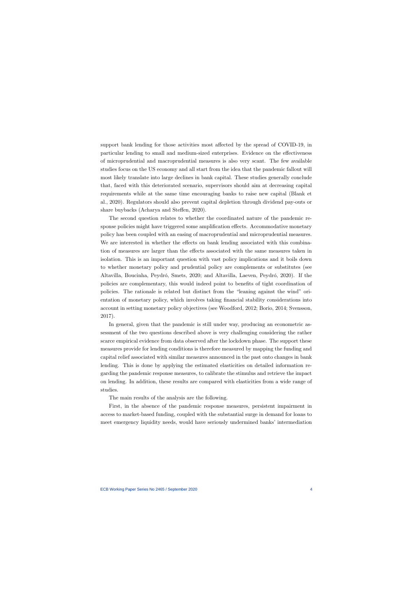support bank lending for those activities most affected by the spread of COVID-19, in particular lending to small and medium-sized enterprises. Evidence on the effectiveness of microprudential and macroprudential measures is also very scant. The few available studies focus on the US economy and all start from the idea that the pandemic fallout will most likely translate into large declines in bank capital. These studies generally conclude that, faced with this deteriorated scenario, supervisors should aim at decreasing capital requirements while at the same time encouraging banks to raise new capital (Blank et al., 2020). Regulators should also prevent capital depletion through dividend pay-outs or share buybacks (Acharya and Steffen, 2020).

The second question relates to whether the coordinated nature of the pandemic response policies might have triggered some amplification effects. Accommodative monetary policy has been coupled with an easing of macroprudential and microprudential measures. We are interested in whether the effects on bank lending associated with this combination of measures are larger than the effects associated with the same measures taken in isolation. This is an important question with vast policy implications and it boils down to whether monetary policy and prudential policy are complements or substitutes (see Altavilla, Boucinha, Peydró, Smets, 2020; and Altavilla, Laeven, Peydró, 2020). If the policies are complementary, this would indeed point to benefits of tight coordination of policies. The rationale is related but distinct from the "leaning against the wind" orientation of monetary policy, which involves taking financial stability considerations into account in setting monetary policy objectives (see Woodford, 2012; Borio, 2014; Svensson, 2017).

In general, given that the pandemic is still under way, producing an econometric assessment of the two questions described above is very challenging considering the rather scarce empirical evidence from data observed after the lockdown phase. The support these measures provide for lending conditions is therefore measured by mapping the funding and capital relief associated with similar measures announced in the past onto changes in bank lending. This is done by applying the estimated elasticities on detailed information regarding the pandemic response measures, to calibrate the stimulus and retrieve the impact on lending. In addition, these results are compared with elasticities from a wide range of studies.

The main results of the analysis are the following.

First, in the absence of the pandemic response measures, persistent impairment in access to market-based funding, coupled with the substantial surge in demand for loans to meet emergency liquidity needs, would have seriously undermined banks' intermediation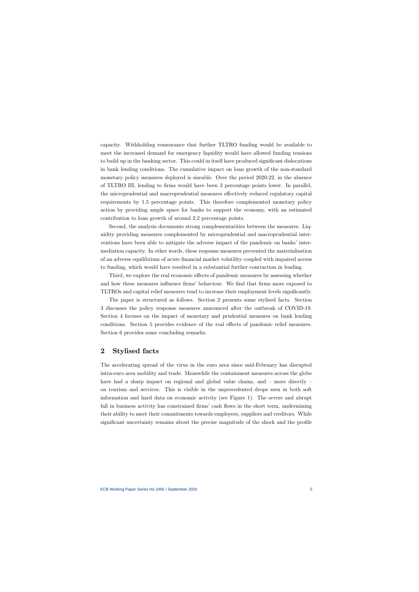capacity. Withholding reassurance that further TLTRO funding would be available to meet the increased demand for emergency liquidity would have allowed funding tensions to build up in the banking sector. This could in itself have produced significant dislocations in bank lending conditions. The cumulative impact on loan growth of the non-standard monetary policy measures deployed is sizeable. Over the period 2020-22, in the absence of TLTRO III, lending to firms would have been 3 percentage points lower. In parallel, the microprudential and macroprudential measures effectively reduced regulatory capital requirements by 1.5 percentage points. This therefore complemented monetary policy action by providing ample space for banks to support the economy, with an estimated contribution to loan growth of around 2.2 percentage points.

Second, the analysis documents strong complementarities between the measures. Liquidity providing measures complemented by microprudential and macroprudential interventions have been able to mitigate the adverse impact of the pandemic on banks' intermediation capacity. In other words, these response measures prevented the materialisation of an adverse equilibrium of acute financial market volatility coupled with impaired access to funding, which would have resulted in a substantial further contraction in lending.

Third, we explore the real economic effects of pandemic measures by assessing whether and how these measures influence firms' behaviour. We find that firms more exposed to TLTROs and capital relief measures tend to increase their employment levels significantly.

The paper is structured as follows. Section 2 presents some stylised facts. Section 3 discusses the policy response measures announced after the outbreak of COVID-19. Section 4 focuses on the impact of monetary and prudential measures on bank lending conditions. Section 5 provides evidence of the real effects of pandemic relief measures. Section 6 provides some concluding remarks.

# 2 Stylised facts

The accelerating spread of the virus in the euro area since mid-February has disrupted intra-euro area mobility and trade. Meanwhile the containment measures across the globe have had a sharp impact on regional and global value chains, and – more directly – on tourism and services. This is visible in the unprecedented drops seen in both soft information and hard data on economic activity (see Figure 1). The severe and abrupt fall in business activity has constrained firms' cash flows in the short term, undermining their ability to meet their commitments towards employees, suppliers and creditors. While significant uncertainty remains about the precise magnitude of the shock and the profile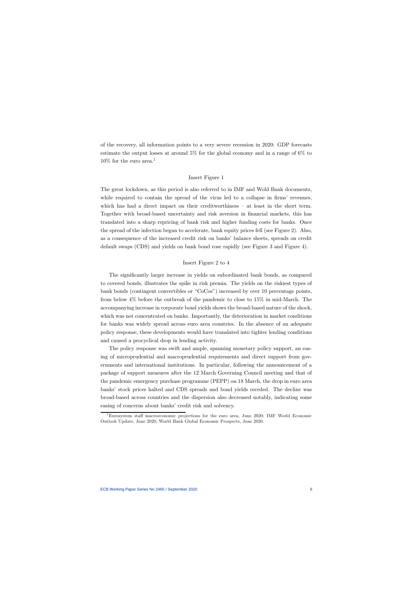of the recovery, all information points to a very severe recession in 2020: GDP forecasts estimate the output losses at around 5% for the global economy and in a range of 6% to  $10\%$  for the euro area.<sup>1</sup>

#### Insert Figure 1

The great lockdown, as this period is also referred to in IMF and Wold Bank documents, while required to contain the spread of the virus led to a collapse in firms' revenues, which has had a direct impact on their creditworthiness — at least in the short term. Together with broad-based uncertainty and risk aversion in financial markets, this has translated into a sharp repricing of bank risk and higher funding costs for banks. Once the spread of the infection began to accelerate, bank equity prices fell (see Figure 2). Also, as a consequence of the increased credit risk on banks' balance sheets, spreads on credit default swaps (CDS) and yields on bank bond rose rapidly (see Figure 3 and Figure 4).

#### Insert Figure 2 to 4

The significantly larger increase in yields on subordinated bank bonds, as compared to covered bonds, illustrates the spike in risk premia. The yields on the riskiest types of bank bonds (contingent convertibles or "CoCos") increased by over 10 percentage points, from below 4% before the outbreak of the pandemic to close to 15% in mid-March. The accompanying increase in corporate bond yields shows the broad-based nature of the shock, which was not concentrated on banks. Importantly, the deterioration in market conditions for banks was widely spread across euro area countries. In the absence of an adequate policy response, these developments would have translated into tighter lending conditions and caused a procyclical drop in lending activity.

The policy response was swift and ample, spanning monetary policy support, an easing of microprudential and macroprudential requirements and direct support from governments and international institutions. In particular, following the announcement of a package of support measures after the 12 March Governing Council meeting and that of the pandemic emergency purchase programme (PEPP) on 18 March, the drop in euro area banks' stock prices halted and CDS spreads and bond yields receded. The decline was broad-based across countries and the dispersion also decreased notably, indicating some easing of concerns about banks' credit risk and solvency.

<sup>1</sup>Eurosystem staff macroeconomic projections for the euro area, June 2020; IMF World Economic Outlook Update, June 2020; World Bank Global Economic Prospects, June 2020.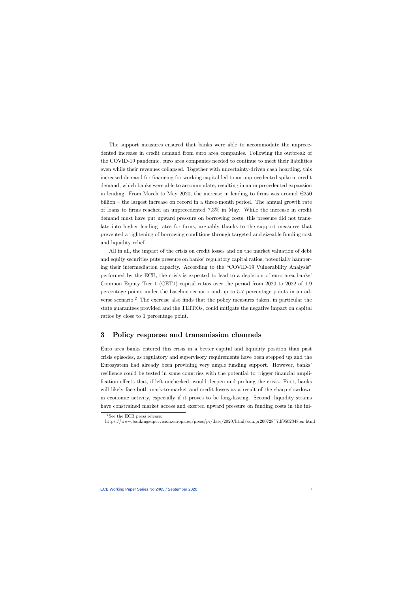The support measures ensured that banks were able to accommodate the unprecedented increase in credit demand from euro area companies. Following the outbreak of the COVID-19 pandemic, euro area companies needed to continue to meet their liabilities even while their revenues collapsed. Together with uncertainty-driven cash hoarding, this increased demand for financing for working capital led to an unprecedented spike in credit demand, which banks were able to accommodate, resulting in an unprecedented expansion in lending. From March to May 2020, the increase in lending to firms was around  $\epsilon$ 250 billion — the largest increase on record in a three-month period. The annual growth rate of loans to firms reached an unprecedented 7.3% in May. While the increase in credit demand must have put upward pressure on borrowing costs, this pressure did not translate into higher lending rates for firms, arguably thanks to the support measures that prevented a tightening of borrowing conditions through targeted and sizeable funding cost and liquidity relief.

All in all, the impact of the crisis on credit losses and on the market valuation of debt and equity securities puts pressure on banks' regulatory capital ratios, potentially hampering their intermediation capacity. According to the "COVID-19 Vulnerability Analysis" performed by the ECB, the crisis is expected to lead to a depletion of euro area banks' Common Equity Tier 1 (CET1) capital ratios over the period from 2020 to 2022 of 1.9 percentage points under the baseline scenario and up to 5.7 percentage points in an adverse scenario.2 The exercise also finds that the policy measures taken, in particular the state guarantees provided and the TLTROs, could mitigate the negative impact on capital ratios by close to 1 percentage point.

# 3 Policy response and transmission channels

Euro area banks entered this crisis in a better capital and liquidity position than past crisis episodes, as regulatory and supervisory requirements have been stepped up and the Eurosystem had already been providing very ample funding support. However, banks' resilience could be tested in some countries with the potential to trigger financial amplification effects that, if left unchecked, would deepen and prolong the crisis. First, banks will likely face both mark-to-market and credit losses as a result of the sharp slowdown in economic activity, especially if it proves to be long-lasting. Second, liquidity strains have constrained market access and exerted upward pressure on funding costs in the ini-

<sup>&</sup>lt;sup>2</sup>See the ECB press release:

https://www.bankingsupervision.europa.eu/press/pr/date/2020/html/ssm.pr200728~7df9502348.en.html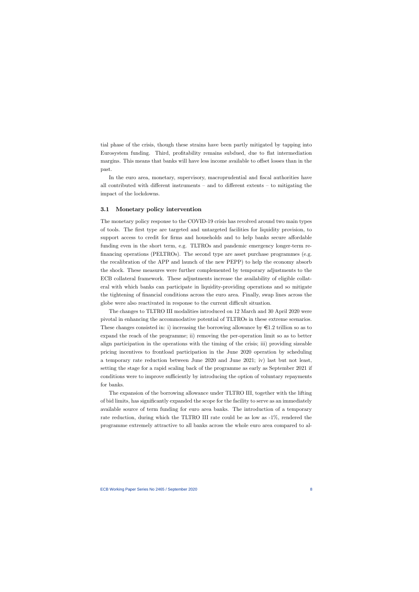tial phase of the crisis, though these strains have been partly mitigated by tapping into Eurosystem funding. Third, profitability remains subdued, due to flat intermediation margins. This means that banks will have less income available to offset losses than in the past.

In the euro area, monetary, supervisory, macroprudential and fiscal authorities have all contributed with different instruments – and to different extents – to mitigating the impact of the lockdowns.

#### 3.1 Monetary policy intervention

The monetary policy response to the COVID-19 crisis has revolved around two main types of tools. The first type are targeted and untargeted facilities for liquidity provision, to support access to credit for firms and households and to help banks secure affordable funding even in the short term, e.g. TLTROs and pandemic emergency longer-term refinancing operations (PELTROs). The second type are asset purchase programmes (e.g. the recalibration of the APP and launch of the new PEPP) to help the economy absorb the shock. These measures were further complemented by temporary adjustments to the ECB collateral framework. These adjustments increase the availability of eligible collateral with which banks can participate in liquidity-providing operations and so mitigate the tightening of financial conditions across the euro area. Finally, swap lines across the globe were also reactivated in response to the current difficult situation.

The changes to TLTRO III modalities introduced on 12 March and 30 April 2020 were pivotal in enhancing the accommodative potential of TLTROs in these extreme scenarios. These changes consisted in: i) increasing the borrowing allowance by  $\epsilon$ 1.2 trillion so as to expand the reach of the programme; ii) removing the per-operation limit so as to better align participation in the operations with the timing of the crisis; iii) providing sizeable pricing incentives to frontload participation in the June 2020 operation by scheduling a temporary rate reduction between June 2020 and June 2021; iv) last but not least, setting the stage for a rapid scaling back of the programme as early as September 2021 if conditions were to improve sufficiently by introducing the option of voluntary repayments for banks.

The expansion of the borrowing allowance under TLTRO III, together with the lifting of bid limits, has significantly expanded the scope for the facility to serve as an immediately available source of term funding for euro area banks. The introduction of a temporary rate reduction, during which the TLTRO III rate could be as low as -1%, rendered the programme extremely attractive to all banks across the whole euro area compared to al-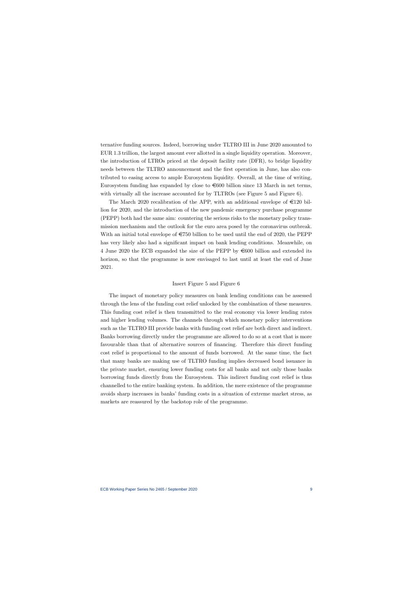ternative funding sources. Indeed, borrowing under TLTRO III in June 2020 amounted to EUR 1.3 trillion, the largest amount ever allotted in a single liquidity operation. Moreover, the introduction of LTROs priced at the deposit facility rate (DFR), to bridge liquidity needs between the TLTRO announcement and the first operation in June, has also contributed to easing access to ample Eurosystem liquidity. Overall, at the time of writing, Eurosystem funding has expanded by close to  $\epsilon$ 600 billion since 13 March in net terms, with virtually all the increase accounted for by TLTROs (see Figure 5 and Figure 6).

The March 2020 recalibration of the APP, with an additional envelope of  $\epsilon$ 120 billion for 2020, and the introduction of the new pandemic emergency purchase programme (PEPP) both had the same aim: countering the serious risks to the monetary policy transmission mechanism and the outlook for the euro area posed by the coronavirus outbreak. With an initial total envelope of  $\epsilon$ 750 billion to be used until the end of 2020, the PEPP has very likely also had a significant impact on bank lending conditions. Meanwhile, on 4 June 2020 the ECB expanded the size of the PEPP by  $\in 600$  billion and extended its horizon, so that the programme is now envisaged to last until at least the end of June 2021.

#### Insert Figure 5 and Figure 6

The impact of monetary policy measures on bank lending conditions can be assessed through the lens of the funding cost relief unlocked by the combination of these measures. This funding cost relief is then transmitted to the real economy via lower lending rates and higher lending volumes. The channels through which monetary policy interventions such as the TLTRO III provide banks with funding cost relief are both direct and indirect. Banks borrowing directly under the programme are allowed to do so at a cost that is more favourable than that of alternative sources of financing. Therefore this direct funding cost relief is proportional to the amount of funds borrowed. At the same time, the fact that many banks are making use of TLTRO funding implies decreased bond issuance in the private market, ensuring lower funding costs for all banks and not only those banks borrowing funds directly from the Eurosystem. This indirect funding cost relief is thus channelled to the entire banking system. In addition, the mere existence of the programme avoids sharp increases in banks' funding costs in a situation of extreme market stress, as markets are reassured by the backstop role of the programme.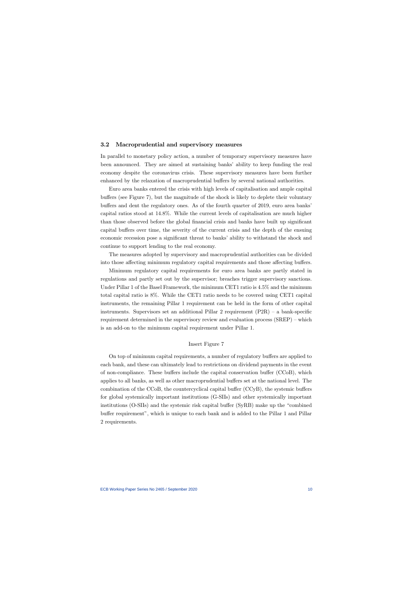### 3.2 Macroprudential and supervisory measures

In parallel to monetary policy action, a number of temporary supervisory measures have been announced. They are aimed at sustaining banks' ability to keep funding the real economy despite the coronavirus crisis. These supervisory measures have been further enhanced by the relaxation of macroprudential buffers by several national authorities.

Euro area banks entered the crisis with high levels of capitalisation and ample capital buffers (see Figure 7), but the magnitude of the shock is likely to deplete their voluntary buffers and dent the regulatory ones. As of the fourth quarter of 2019, euro area banks' capital ratios stood at 14.8%. While the current levels of capitalisation are much higher than those observed before the global financial crisis and banks have built up significant capital buffers over time, the severity of the current crisis and the depth of the ensuing economic recession pose a significant threat to banks' ability to withstand the shock and continue to support lending to the real economy.

The measures adopted by supervisory and macroprudential authorities can be divided into those affecting minimum regulatory capital requirements and those affecting buffers.

Minimum regulatory capital requirements for euro area banks are partly stated in regulations and partly set out by the supervisor; breaches trigger supervisory sanctions. Under Pillar 1 of the Basel Framework, the minimum CET1 ratio is 4.5% and the minimum total capital ratio is 8%. While the CET1 ratio needs to be covered using CET1 capital instruments, the remaining Pillar 1 requirement can be held in the form of other capital instruments. Supervisors set an additional Pillar 2 requirement  $(P2R)$  – a bank-specific requirement determined in the supervisory review and evaluation process (SREP) — which is an add-on to the minimum capital requirement under Pillar 1.

### Insert Figure 7

On top of minimum capital requirements, a number of regulatory buffers are applied to each bank, and these can ultimately lead to restrictions on dividend payments in the event of non-compliance. These buffers include the capital conservation buffer (CCoB), which applies to all banks, as well as other macroprudential buffers set at the national level. The combination of the CCoB, the countercyclical capital buffer (CCyB), the systemic buffers for global systemically important institutions (G-SIIs) and other systemically important institutions (O-SIIs) and the systemic risk capital buffer (SyRB) make up the "combined buffer requirement", which is unique to each bank and is added to the Pillar 1 and Pillar 2 requirements.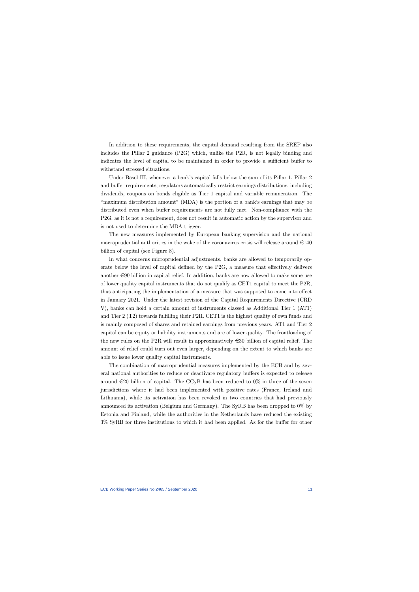In addition to these requirements, the capital demand resulting from the SREP also includes the Pillar 2 guidance (P2G) which, unlike the P2R, is not legally binding and indicates the level of capital to be maintained in order to provide a sufficient buffer to withstand stressed situations.

Under Basel III, whenever a bank's capital falls below the sum of its Pillar 1, Pillar 2 and buffer requirements, regulators automatically restrict earnings distributions, including dividends, coupons on bonds eligible as Tier 1 capital and variable remuneration. The "maximum distribution amount" (MDA) is the portion of a bank's earnings that may be distributed even when buffer requirements are not fully met. Non-compliance with the P2G, as it is not a requirement, does not result in automatic action by the supervisor and is not used to determine the MDA trigger.

The new measures implemented by European banking supervision and the national macroprudential authorities in the wake of the coronavirus crisis will release around  $\epsilon$ 140 billion of capital (see Figure 8).

In what concerns microprudential adjustments, banks are allowed to temporarily operate below the level of capital defined by the P2G, a measure that effectively delivers another  $\epsilon$ 90 billion in capital relief. In addition, banks are now allowed to make some use of lower quality capital instruments that do not qualify as CET1 capital to meet the P2R, thus anticipating the implementation of a measure that was supposed to come into effect in January 2021. Under the latest revision of the Capital Requirements Directive (CRD V), banks can hold a certain amount of instruments classed as Additional Tier 1 (AT1) and Tier 2 (T2) towards fulfilling their P2R. CET1 is the highest quality of own funds and is mainly composed of shares and retained earnings from previous years. AT1 and Tier 2 capital can be equity or liability instruments and are of lower quality. The frontloading of the new rules on the P2R will result in approximatively  $\epsilon$  30 billion of capital relief. The amount of relief could turn out even larger, depending on the extent to which banks are able to issue lower quality capital instruments.

The combination of macroprudential measures implemented by the ECB and by several national authorities to reduce or deactivate regulatory buffers is expected to release around  $\epsilon$ 20 billion of capital. The CCyB has been reduced to 0% in three of the seven jurisdictions where it had been implemented with positive rates (France, Ireland and Lithuania), while its activation has been revoked in two countries that had previously announced its activation (Belgium and Germany). The SyRB has been dropped to 0% by Estonia and Finland, while the authorities in the Netherlands have reduced the existing 3% SyRB for three institutions to which it had been applied. As for the buffer for other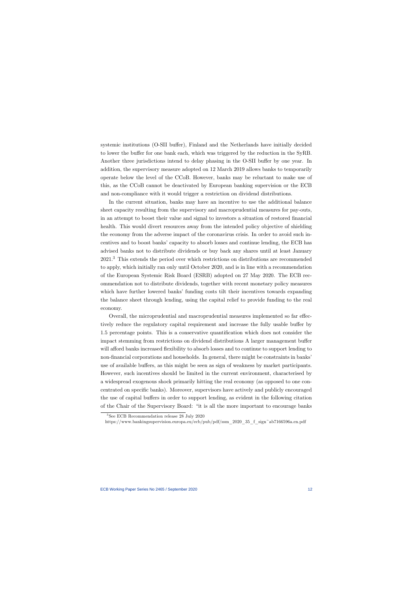systemic institutions (O-SII buffer), Finland and the Netherlands have initially decided to lower the buffer for one bank each, which was triggered by the reduction in the SyRB. Another three jurisdictions intend to delay phasing in the O-SII buffer by one year. In addition, the supervisory measure adopted on 12 March 2019 allows banks to temporarily operate below the level of the CCoB. However, banks may be reluctant to make use of this, as the CCoB cannot be deactivated by European banking supervision or the ECB and non-compliance with it would trigger a restriction on dividend distributions.

In the current situation, banks may have an incentive to use the additional balance sheet capacity resulting from the supervisory and macroprudential measures for pay-outs, in an attempt to boost their value and signal to investors a situation of restored financial health. This would divert resources away from the intended policy objective of shielding the economy from the adverse impact of the coronavirus crisis. In order to avoid such incentives and to boost banks' capacity to absorb losses and continue lending, the ECB has advised banks not to distribute dividends or buy back any shares until at least January 2021.3 This extends the period over which restrictions on distributions are recommended to apply, which initially ran only until October 2020, and is in line with a recommendation of the European Systemic Risk Board (ESRB) adopted on 27 May 2020. The ECB recommendation not to distribute dividends, together with recent monetary policy measures which have further lowered banks' funding costs tilt their incentives towards expanding the balance sheet through lending, using the capital relief to provide funding to the real economy.

Overall, the microprudential and macroprudential measures implemented so far effectively reduce the regulatory capital requirement and increase the fully usable buffer by 1.5 percentage points. This is a conservative quantification which does not consider the impact stemming from restrictions on dividend distributions A larger management buffer will afford banks increased flexibility to absorb losses and to continue to support lending to non-financial corporations and households. In general, there might be constraints in banks' use of available buffers, as this might be seen as sign of weakness by market participants. However, such incentives should be limited in the current environment, characterised by a widespread exogenous shock primarily hitting the real economy (as opposed to one concentrated on specific banks). Moreover, supervisors have actively and publicly encouraged the use of capital buffers in order to support lending, as evident in the following citation of the Chair of the Supervisory Board: "it is all the more important to encourage banks

<sup>3</sup>See ECB Recommendation release 28 July 2020

https://www.bankingsupervision.europa.eu/ecb/pub/pdf/ssm\_2020\_35\_f\_sign~ab7166596a.en.pdf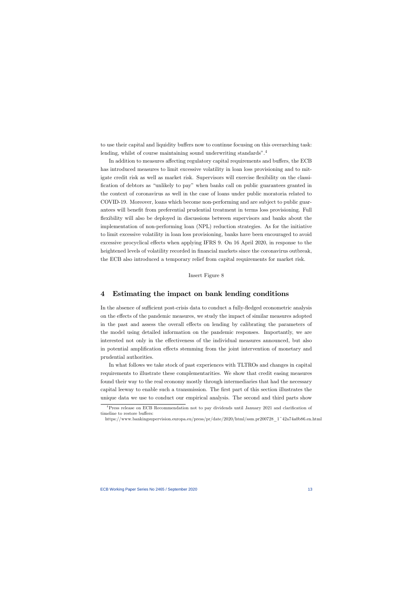to use their capital and liquidity buffers now to continue focusing on this overarching task: lending, whilst of course maintaining sound underwriting standards".<sup>4</sup>

In addition to measures affecting regulatory capital requirements and buffers, the ECB has introduced measures to limit excessive volatility in loan loss provisioning and to mitigate credit risk as well as market risk. Supervisors will exercise flexibility on the classification of debtors as "unlikely to pay" when banks call on public guarantees granted in the context of coronavirus as well in the case of loans under public moratoria related to COVID-19. Moreover, loans which become non-performing and are subject to public guarantees will benefit from preferential prudential treatment in terms loss provisioning. Full flexibility will also be deployed in discussions between supervisors and banks about the implementation of non-performing loan (NPL) reduction strategies. As for the initiative to limit excessive volatility in loan loss provisioning, banks have been encouraged to avoid excessive procyclical effects when applying IFRS 9. On 16 April 2020, in response to the heightened levels of volatility recorded in financial markets since the coronavirus outbreak, the ECB also introduced a temporary relief from capital requirements for market risk.

Insert Figure 8

### 4 Estimating the impact on bank lending conditions

In the absence of sufficient post-crisis data to conduct a fully-fledged econometric analysis on the effects of the pandemic measures, we study the impact of similar measures adopted in the past and assess the overall effects on lending by calibrating the parameters of the model using detailed information on the pandemic responses. Importantly, we are interested not only in the effectiveness of the individual measures announced, but also in potential amplification effects stemming from the joint intervention of monetary and prudential authorities.

In what follows we take stock of past experiences with TLTROs and changes in capital requirements to illustrate these complementarities. We show that credit easing measures found their way to the real economy mostly through intermediaries that had the necessary capital leeway to enable such a transmission. The first part of this section illustrates the unique data we use to conduct our empirical analysis. The second and third parts show

<sup>4</sup>Press release on ECB Recommendation not to pay dividends until January 2021 and clarification of timeline to restore buffers:

https://www.bankingsupervision.europa.eu/press/pr/date/2020/html/ssm.pr200728\_1~42a74a0b86.en.html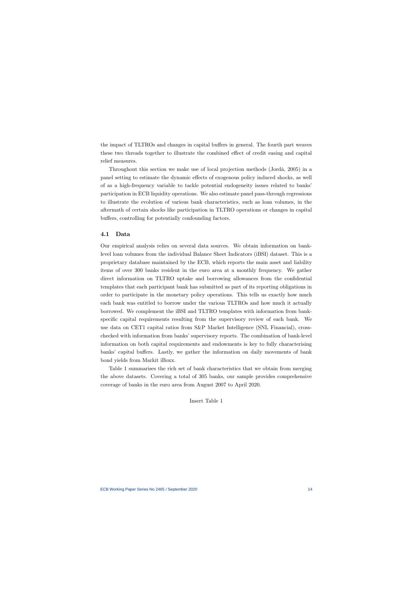the impact of TLTROs and changes in capital buffers in general. The fourth part weaves these two threads together to illustrate the combined effect of credit easing and capital relief measures.

Throughout this section we make use of local projection methods (Jordà, 2005) in a panel setting to estimate the dynamic effects of exogenous policy induced shocks, as well of as a high-frequency variable to tackle potential endogeneity issues related to banks' participation in ECB liquidity operations. We also estimate panel pass-through regressions to illustrate the evolution of various bank characteristics, such as loan volumes, in the aftermath of certain shocks like participation in TLTRO operations or changes in capital buffers, controlling for potentially confounding factors.

### 4.1 Data

Our empirical analysis relies on several data sources. We obtain information on banklevel loan volumes from the individual Balance Sheet Indicators (iBSI) dataset. This is a proprietary database maintained by the ECB, which reports the main asset and liability items of over 300 banks resident in the euro area at a monthly frequency. We gather direct information on TLTRO uptake and borrowing allowances from the confidential templates that each participant bank has submitted as part of its reporting obligations in order to participate in the monetary policy operations. This tells us exactly how much each bank was entitled to borrow under the various TLTROs and how much it actually borrowed. We complement the iBSI and TLTRO templates with information from bankspecific capital requirements resulting from the supervisory review of each bank. We use data on CET1 capital ratios from S&P Market Intelligence (SNL Financial), crosschecked with information from banks' supervisory reports. The combination of bank-level information on both capital requirements and endowments is key to fully characterising banks' capital buffers. Lastly, we gather the information on daily movements of bank bond yields from Markit iBoxx.

Table 1 summarises the rich set of bank characteristics that we obtain from merging the above datasets. Covering a total of 305 banks, our sample provides comprehensive coverage of banks in the euro area from August 2007 to April 2020.

Insert Table 1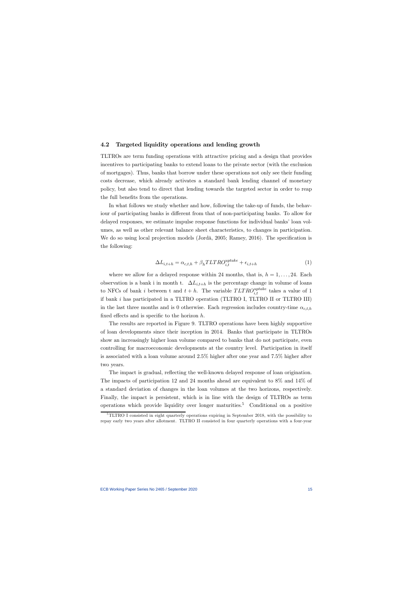#### 4.2 Targeted liquidity operations and lending growth

TLTROs are term funding operations with attractive pricing and a design that provides incentives to participating banks to extend loans to the private sector (with the exclusion of mortgages). Thus, banks that borrow under these operations not only see their funding costs decrease, which already activates a standard bank lending channel of monetary policy, but also tend to direct that lending towards the targeted sector in order to reap the full benefits from the operations.

In what follows we study whether and how, following the take-up of funds, the behaviour of participating banks is different from that of non-participating banks. To allow for delayed responses, we estimate impulse response functions for individual banks' loan volumes, as well as other relevant balance sheet characteristics, to changes in participation. We do so using local projection models (Jordà, 2005; Ramey, 2016). The specification is the following:

$$
\Delta L_{i,t+h} = \alpha_{c,t,h} + \beta_h T L T R O_{i,t}^{uptake} + \epsilon_{i,t+h}
$$
\n(1)

where we allow for a delayed response within 24 months, that is,  $h = 1, \ldots, 24$ . Each observation is a bank i in month t.  $\Delta L_{i,t+h}$  is the percentage change in volume of loans to NFCs of bank *i* between t and  $t + h$ . The variable  $TLTRO_{i,t}^{uptake}$  takes a value of 1 if bank  $i$  has participated in a TLTRO operation (TLTRO I, TLTRO II or TLTRO III) in the last three months and is 0 otherwise. Each regression includes country-time  $\alpha_{c,t,h}$ fixed effects and is specific to the horizon  $h$ .

The results are reported in Figure 9. TLTRO operations have been highly supportive of loan developments since their inception in 2014. Banks that participate in TLTROs show an increasingly higher loan volume compared to banks that do not participate, even controlling for macroeconomic developments at the country level. Participation in itself is associated with a loan volume around 2.5% higher after one year and 7.5% higher after two years.

The impact is gradual, reflecting the well-known delayed response of loan origination. The impacts of participation 12 and 24 months ahead are equivalent to 8% and 14% of a standard deviation of changes in the loan volumes at the two horizons, respectively. Finally, the impact is persistent, which is in line with the design of TLTROs as term operations which provide liquidity over longer maturities.<sup>5</sup> Conditional on a positive

 $5$ TLTRO I consisted in eight quarterly operations expiring in September 2018, with the possibility to repay early two years after allotment. TLTRO II consisted in four quarterly operations with a four-year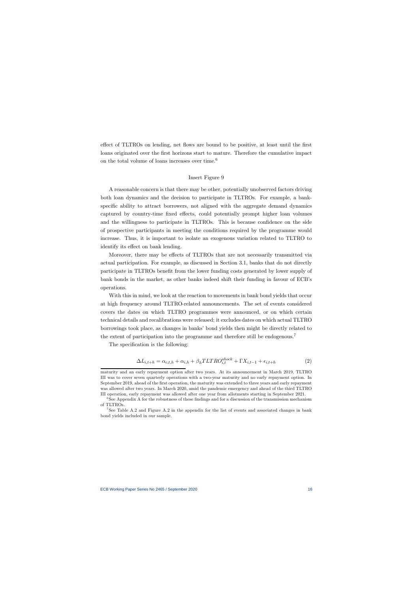effect of TLTROs on lending, net flows are bound to be positive, at least until the first loans originated over the first horizons start to mature. Therefore the cumulative impact on the total volume of loans increases over time.6

#### Insert Figure 9

A reasonable concern is that there may be other, potentially unobserved factors driving both loan dynamics and the decision to participate in TLTROs. For example, a bankspecific ability to attract borrowers, not aligned with the aggregate demand dynamics captured by country-time fixed effects, could potentially prompt higher loan volumes and the willingness to participate in TLTROs. This is because confidence on the side of prospective participants in meeting the conditions required by the programme would increase. Thus, it is important to isolate an exogenous variation related to TLTRO to identify its effect on bank lending.

Moreover, there may be effects of TLTROs that are not necessarily transmitted via actual participation. For example, as discussed in Section 3.1, banks that do not directly participate in TLTROs benefit from the lower funding costs generated by lower supply of bank bonds in the market, as other banks indeed shift their funding in favour of ECB's operations.

With this in mind, we look at the reaction to movements in bank bond yields that occur at high frequency around TLTRO-related announcements. The set of events considered covers the dates on which TLTRO programmes were announced, or on which certain technical details and recalibrations were released; it excludes dates on which actual TLTRO borrowings took place, as changes in banks' bond yields then might be directly related to the extent of participation into the programme and therefore still be endogenous.<sup>7</sup>

The specification is the following:

$$
\Delta L_{i,t+h} = \alpha_{c,t,h} + \alpha_{i,h} + \beta_h T L T R O_{i,t}^{shock} + \Gamma X_{i,t-1} + \epsilon_{i,t+h}
$$
\n(2)

maturity and an early repayment option after two years. At its announcement in March 2019, TLTRO III was to cover seven quarterly operations with a two-year maturity and no early repayment option. In September 2019, ahead of the first operation, the maturity was extended to three years and early repayment was allowed after two years. In March 2020, amid the pandemic emergency and ahead of the third TLTRO III operation, early repayment was allowed after one year from allotments starting in September 2021.

 $6$ See Appendix A for the robustness of these findings and for a discussion of the transmission mechanism of TLTROs.

<sup>&</sup>lt;sup>7</sup>See Table A.2 and Figure A.2 in the appendix for the list of events and associated changes in bank bond yields included in our sample.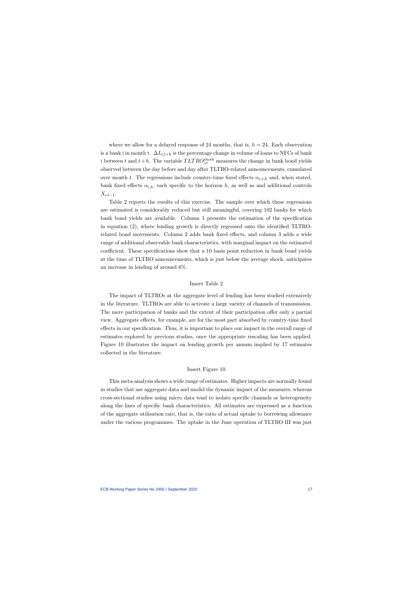where we allow for a delayed response of 24 months, that is,  $h = 24$ . Each observation is a bank i in month t.  $\Delta L_{i,t+h}$  is the percentage change in volume of loans to NFCs of bank i between t and  $t+h$ . The variable  $TLTRO_{i,t}^{shock}$  measures the change in bank bond yields observed between the day before and day after TLTRO-related announcements, cumulated over month t. The regressions include country-time fixed effects  $\alpha_{c, t, h}$  and, when stated, bank fixed effects  $\alpha_{i,h}$ , each specific to the horizon h, as well as and additional controls  $X_{i,t-1}$ .

Table 2 reports the results of this exercise. The sample over which these regressions are estimated is considerably reduced but still meaningful, covering 102 banks for which bank bond yields are available. Column 1 presents the estimation of the specification in equation (2), where lending growth is directly regressed onto the identified TLTROrelated bond movements. Column 2 adds bank fixed effects, and column 3 adds a wide range of additional observable bank characteristics, with marginal impact on the estimated coefficient. These specifications show that a 10 basis point reduction in bank bond yields at the time of TLTRO announcements, which is just below the average shock, anticipates an increase in lending of around 6%.

### Insert Table 2

The impact of TLTROs at the aggregate level of lending has been studied extensively in the literature. TLTROs are able to activate a large variety of channels of transmission. The mere participation of banks and the extent of their participation offer only a partial view. Aggregate effects, for example, are for the most part absorbed by country-time fixed effects in our specification. Thus, it is important to place our impact in the overall range of estimates explored by previous studies, once the appropriate rescaling has been applied. Figure 10 illustrates the impact on lending growth per annum implied by 17 estimates collected in the literature.

#### Insert Figure 10

This meta-analysis shows a wide range of estimates. Higher impacts are normally found in studies that use aggregate data and model the dynamic impact of the measures, whereas cross-sectional studies using micro data tend to isolate specific channels or heterogeneity along the lines of specific bank characteristics. All estimates are expressed as a function of the aggregate utilisation rate, that is, the ratio of actual uptake to borrowing allowance under the various programmes. The uptake in the June operation of TLTRO III was just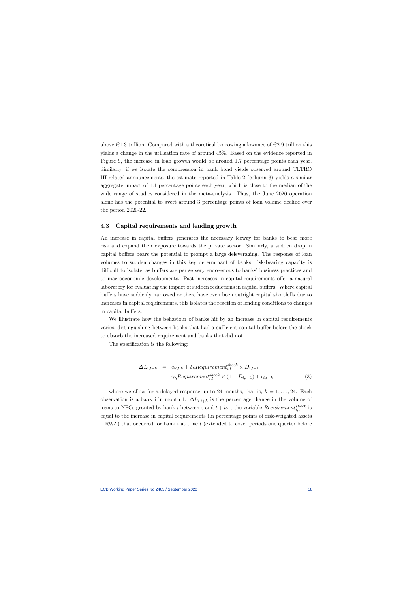above  $\in 1.3$  trillion. Compared with a theoretical borrowing allowance of  $\in 2.9$  trillion this yields a change in the utilisation rate of around 45%. Based on the evidence reported in Figure 9, the increase in loan growth would be around 1.7 percentage points each year. Similarly, if we isolate the compression in bank bond yields observed around TLTRO III-related announcements, the estimate reported in Table 2 (column 3) yields a similar aggregate impact of 1.1 percentage points each year, which is close to the median of the wide range of studies considered in the meta-analysis. Thus, the June 2020 operation alone has the potential to avert around 3 percentage points of loan volume decline over the period 2020-22.

#### 4.3 Capital requirements and lending growth

An increase in capital buffers generates the necessary leeway for banks to bear more risk and expand their exposure towards the private sector. Similarly, a sudden drop in capital buffers bears the potential to prompt a large deleveraging. The response of loan volumes to sudden changes in this key determinant of banks' risk-bearing capacity is difficult to isolate, as buffers are per se very endogenous to banks' business practices and to macroeconomic developments. Past increases in capital requirements offer a natural laboratory for evaluating the impact of sudden reductions in capital buffers. Where capital buffers have suddenly narrowed or there have even been outright capital shortfalls due to increases in capital requirements, this isolates the reaction of lending conditions to changes in capital buffers.

We illustrate how the behaviour of banks hit by an increase in capital requirements varies, distinguishing between banks that had a sufficient capital buffer before the shock to absorb the increased requirement and banks that did not.

The specification is the following:

$$
\Delta L_{i,t+h} = \alpha_{c,t,h} + \delta_h \text{Required}_{i,t}^{shock} \times D_{i,t-1} +
$$
  
\n
$$
\gamma_h \text{Required}_{i,t}^{shock} \times (1 - D_{i,t-1}) + \epsilon_{i,t+h}
$$
 (3)

where we allow for a delayed response up to 24 months, that is,  $h = 1, \ldots, 24$ . Each observation is a bank i in month t.  $\Delta L_{i,t+h}$  is the percentage change in the volume of loans to NFCs granted by bank *i* between t and  $t + h$ , t the variable *Requirement*<sup>shock</sup> is equal to the increase in capital requirements (in percentage points of risk-weighted assets  $-$  RWA) that occurred for bank *i* at time *t* (extended to cover periods one quarter before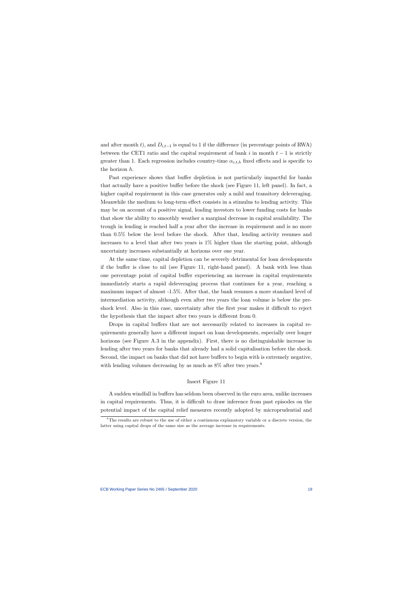and after month t), and  $D_{i,t-1}$  is equal to 1 if the difference (in percentage points of RWA) between the CET1 ratio and the capital requirement of bank  $i$  in month  $t-1$  is strictly greater than 1. Each regression includes country-time  $\alpha_{c,t,h}$  fixed effects and is specific to the horizon  $h$ .

Past experience shows that buffer depletion is not particularly impactful for banks that actually have a positive buffer before the shock (see Figure 11, left panel). In fact, a higher capital requirement in this case generates only a mild and transitory deleveraging. Meanwhile the medium to long-term effect consists in a stimulus to lending activity. This may be on account of a positive signal, leading investors to lower funding costs for banks that show the ability to smoothly weather a marginal decrease in capital availability. The trough in lending is reached half a year after the increase in requirement and is no more than 0.5% below the level before the shock. After that, lending activity resumes and increases to a level that after two years is  $1\%$  higher than the starting point, although uncertainty increases substantially at horizons over one year.

At the same time, capital depletion can be severely detrimental for loan developments if the buffer is close to nil (see Figure 11, right-hand panel). A bank with less than one percentage point of capital buffer experiencing an increase in capital requirements immediately starts a rapid deleveraging process that continues for a year, reaching a maximum impact of almost -1.5%. After that, the bank resumes a more standard level of intermediation activity, although even after two years the loan volume is below the preshock level. Also in this case, uncertainty after the first year makes it difficult to reject the hypothesis that the impact after two years is different from 0.

Drops in capital buffers that are not necessarily related to increases in capital requirements generally have a different impact on loan developments, especially over longer horizons (see Figure A.3 in the appendix). First, there is no distinguishable increase in lending after two years for banks that already had a solid capitalisation before the shock. Second, the impact on banks that did not have buffers to begin with is extremely negative, with lending volumes decreasing by as much as  $8\%$  after two years.<sup>8</sup>

### Insert Figure 11

A sudden windfall in buffers has seldom been observed in the euro area, unlike increases in capital requirements. Thus, it is difficult to draw inference from past episodes on the potential impact of the capital relief measures recently adopted by microprudential and

 ${}^8$ The results are robust to the use of either a continuous explanatory variable or a discrete version, the latter using capital drops of the same size as the average increase in requirements.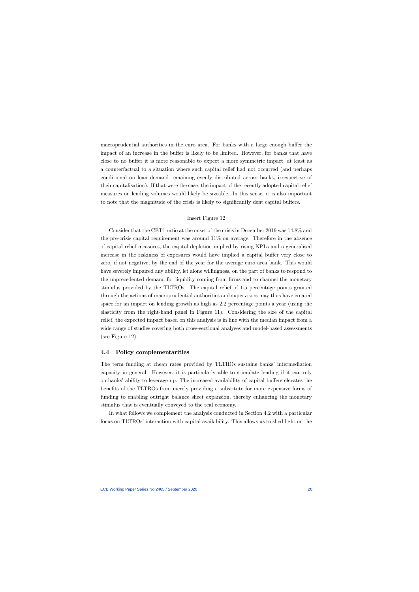macroprudential authorities in the euro area. For banks with a large enough buffer the impact of an increase in the buffer is likely to be limited. However, for banks that have close to no buffer it is more reasonable to expect a more symmetric impact, at least as a counterfactual to a situation where such capital relief had not occurred (and perhaps conditional on loan demand remaining evenly distributed across banks, irrespective of their capitalisation). If that were the case, the impact of the recently adopted capital relief measures on lending volumes would likely be sizeable. In this sense, it is also important to note that the magnitude of the crisis is likely to significantly dent capital buffers.

#### Insert Figure 12

Consider that the CET1 ratio at the onset of the crisis in December 2019 was 14.8% and the pre-crisis capital requirement was around 11% on average. Therefore in the absence of capital relief measures, the capital depletion implied by rising NPLs and a generalised increase in the riskiness of exposures would have implied a capital buffer very close to zero, if not negative, by the end of the year for the average euro area bank. This would have severely impaired any ability, let alone willingness, on the part of banks to respond to the unprecedented demand for liquidity coming from firms and to channel the monetary stimulus provided by the TLTROs. The capital relief of 1.5 percentage points granted through the actions of macroprudential authorities and supervisors may thus have created space for an impact on lending growth as high as 2.2 percentage points a year (using the elasticity from the right-hand panel in Figure 11). Considering the size of the capital relief, the expected impact based on this analysis is in line with the median impact from a wide range of studies covering both cross-sectional analyses and model-based assessments (see Figure 12).

### 4.4 Policy complementarities

The term funding at cheap rates provided by TLTROs sustains banks' intermediation capacity in general. However, it is particularly able to stimulate lending if it can rely on banks' ability to leverage up. The increased availability of capital buffers elevates the benefits of the TLTROs from merely providing a substitute for more expensive forms of funding to enabling outright balance sheet expansion, thereby enhancing the monetary stimulus that is eventually conveyed to the real economy.

In what follows we complement the analysis conducted in Section 4.2 with a particular focus on TLTROs' interaction with capital availability. This allows us to shed light on the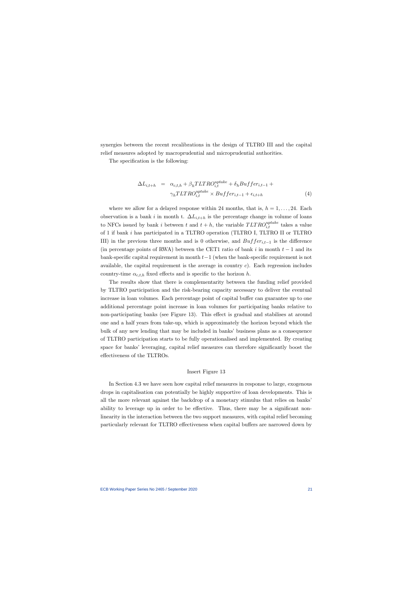synergies between the recent recalibrations in the design of TLTRO III and the capital relief measures adopted by macroprudential and microprudential authorities.

The specification is the following:

$$
\Delta L_{i,t+h} = \alpha_{c,t,h} + \beta_h T L T R O_{i,t}^{uptake} + \delta_h B u f f e r_{i,t-1} +
$$
  

$$
\gamma_h T L T R O_{i,t}^{uptake} \times B u f f e r_{i,t-1} + \epsilon_{i,t+h}
$$
 (4)

where we allow for a delayed response within 24 months, that is,  $h = 1, \ldots, 24$ . Each observation is a bank *i* in month t.  $\Delta L_{i,t+h}$  is the percentage change in volume of loans to NFCs issued by bank *i* between *t* and  $t + h$ , the variable  $TLTRO_{i,t}^{uptake}$  takes a value of 1 if bank has participated in a TLTRO operation (TLTRO I, TLTRO II or TLTRO III) in the previous three months and is 0 otherwise, and  $Buffer_{i,t-1}$  is the difference (in percentage points of RWA) between the CET1 ratio of bank  $i$  in month  $t-1$  and its bank-specific capital requirement in month  $t-1$  (when the bank-specific requirement is not available, the capital requirement is the average in country  $c$ ). Each regression includes country-time  $\alpha_{c,t,h}$  fixed effects and is specific to the horizon h.

The results show that there is complementarity between the funding relief provided by TLTRO participation and the risk-bearing capacity necessary to deliver the eventual increase in loan volumes. Each percentage point of capital buffer can guarantee up to one additional percentage point increase in loan volumes for participating banks relative to non-participating banks (see Figure 13). This effect is gradual and stabilises at around one and a half years from take-up, which is approximately the horizon beyond which the bulk of any new lending that may be included in banks' business plans as a consequence of TLTRO participation starts to be fully operationalised and implemented. By creating space for banks' leveraging, capital relief measures can therefore significantly boost the effectiveness of the TLTROs.

#### Insert Figure 13

In Section 4.3 we have seen how capital relief measures in response to large, exogenous drops in capitalisation can potentially be highly supportive of loan developments. This is all the more relevant against the backdrop of a monetary stimulus that relies on banks' ability to leverage up in order to be effective. Thus, there may be a significant nonlinearity in the interaction between the two support measures, with capital relief becoming particularly relevant for TLTRO effectiveness when capital buffers are narrowed down by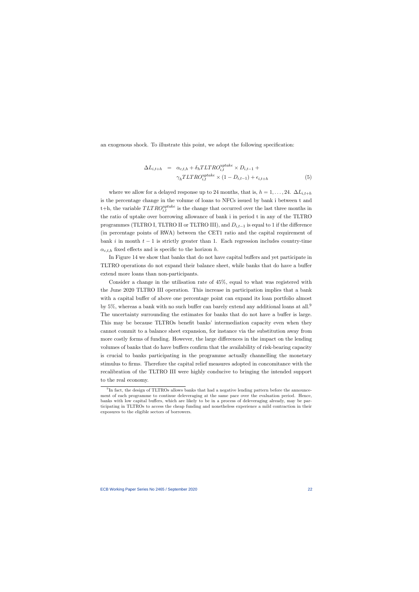an exogenous shock. To illustrate this point, we adopt the following specification:

$$
\Delta L_{i,t+h} = \alpha_{c,t,h} + \delta_h T L T R O_{i,t}^{uptake} \times D_{i,t-1} +
$$
  

$$
\gamma_h T L T R O_{i,t}^{uptake} \times (1 - D_{i,t-1}) + \epsilon_{i,t+h}
$$
 (5)

where we allow for a delayed response up to 24 months, that is,  $h = 1, \ldots, 24$ .  $\Delta L_{i,t+h}$ is the percentage change in the volume of loans to NFCs issued by bank i between t and t+h, the variable  $TLTRO_{i,t}^{uptake}$  is the change that occurred over the last three months in the ratio of uptake over borrowing allowance of bank i in period t in any of the TLTRO programmes (TLTRO I, TLTRO II or TLTRO III), and  $D_{i,t-1}$  is equal to 1 if the difference (in percentage points of RWA) between the CET1 ratio and the capital requirement of bank  $i$  in month  $t-1$  is strictly greater than 1. Each regression includes country-time  $\alpha_{c,t,h}$  fixed effects and is specific to the horizon h.

In Figure 14 we show that banks that do not have capital buffers and yet participate in TLTRO operations do not expand their balance sheet, while banks that do have a buffer extend more loans than non-participants.

Consider a change in the utilisation rate of 45%, equal to what was registered with the June 2020 TLTRO III operation. This increase in participation implies that a bank with a capital buffer of above one percentage point can expand its loan portfolio almost by 5%, whereas a bank with no such buffer can barely extend any additional loans at all.9 The uncertainty surrounding the estimates for banks that do not have a buffer is large. This may be because TLTROs benefit banks' intermediation capacity even when they cannot commit to a balance sheet expansion, for instance via the substitution away from more costly forms of funding. However, the large differences in the impact on the lending volumes of banks that do have buffers confirm that the availability of risk-bearing capacity is crucial to banks participating in the programme actually channelling the monetary stimulus to firms. Therefore the capital relief measures adopted in concomitance with the recalibration of the TLTRO III were highly conducive to bringing the intended support to the real economy.

 $9$ In fact, the design of TLTROs allows banks that had a negative lending pattern before the announcement of each programme to continue deleveraging at the same pace over the evaluation period. Hence, banks with low capital buffers, which are likely to be in a process of deleveraging already, may be participating in TLTROs to access the cheap funding and nonetheless experience a mild contraction in their exposures to the eligible sectors of borrowers.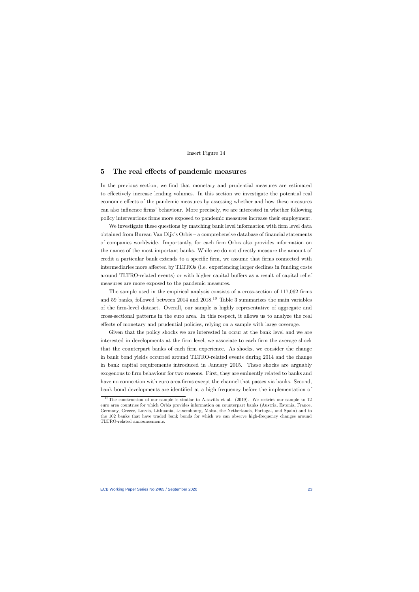#### Insert Figure 14

### 5 The real effects of pandemic measures

In the previous section, we find that monetary and prudential measures are estimated to effectively increase lending volumes. In this section we investigate the potential real economic effects of the pandemic measures by assessing whether and how these measures can also influence firms' behaviour. More precisely, we are interested in whether following policy interventions firms more exposed to pandemic measures increase their employment.

We investigate these questions by matching bank level information with firm level data obtained from Bureau Van Dijk's Orbis — a comprehensive database of financial statements of companies worldwide. Importantly, for each firm Orbis also provides information on the names of the most important banks. While we do not directly measure the amount of credit a particular bank extends to a specific firm, we assume that firms connected with intermediaries more affected by TLTROs (i.e. experiencing larger declines in funding costs around TLTRO-related events) or with higher capital buffers as a result of capital relief measures are more exposed to the pandemic measures.

The sample used in the empirical analysis consists of a cross-section of 117,062 firms and 59 banks, followed between 2014 and 2018.<sup>10</sup> Table 3 summarizes the main variables of the firm-level dataset. Overall, our sample is highly representative of aggregate and cross-sectional patterns in the euro area. In this respect, it allows us to analyze the real effects of monetary and prudential policies, relying on a sample with large coverage.

Given that the policy shocks we are interested in occur at the bank level and we are interested in developments at the firm level, we associate to each firm the average shock that the counterpart banks of each firm experience. As shocks, we consider the change in bank bond yields occurred around TLTRO-related events during 2014 and the change in bank capital requirements introduced in January 2015. These shocks are arguably exogenous to firm behaviour for two reasons. First, they are eminently related to banks and have no connection with euro area firms except the channel that passes via banks. Second, bank bond developments are identified at a high frequency before the implementation of

<sup>&</sup>lt;sup>10</sup>The construction of our sample is similar to Altavilla et al.  $(2019)$ . We restrict our sample to 12 euro area countries for which Orbis provides information on counterpart banks (Austria, Estonia, France, Germany, Greece, Latvia, Lithuania, Luxembourg, Malta, the Netherlands, Portugal, and Spain) and to the 102 banks that have traded bank bonds for which we can observe high-frequency changes around TLTRO-related announcements.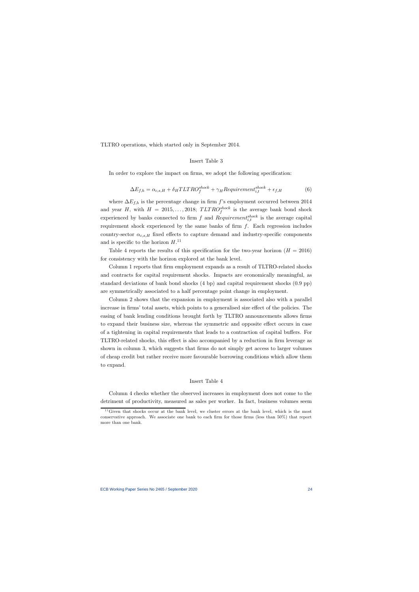TLTRO operations, which started only in September 2014.

### Insert Table 3

In order to explore the impact on firms, we adopt the following specification:

$$
\Delta E_{f,h} = \alpha_{c,s,H} + \delta_H T L T R O_f^{shock} + \gamma_H Required_{i,t}^{shock} + \epsilon_{f,H}
$$
(6)

where  $\Delta E_{f,h}$  is the percentage change in firm f's employment occurred between 2014 and year H, with  $H = 2015, \ldots, 2018$ ;  $TLTRO_f^{shock}$  is the average bank bond shock experienced by banks connected to firm f and  $Requirement_{i,t}^{shock}$  is the average capital requirement shock experienced by the same banks of firm  $f$ . Each regression includes country-sector  $\alpha_{c,s,H}$  fixed effects to capture demand and industry-specific components and is specific to the horizon  $H^{11}$ .

Table 4 reports the results of this specification for the two-year horizon  $(H = 2016)$ for consistency with the horizon explored at the bank level.

Column 1 reports that firm employment expands as a result of TLTRO-related shocks and contracts for capital requirement shocks. Impacts are economically meaningful, as standard deviations of bank bond shocks (4 bp) and capital requirement shocks (0.9 pp) are symmetrically associated to a half percentage point change in employment.

Column 2 shows that the expansion in employment is associated also with a parallel increase in firms' total assets, which points to a generalised size effect of the policies. The easing of bank lending conditions brought forth by TLTRO announcements allows firms to expand their business size, whereas the symmetric and opposite effect occurs in case of a tightening in capital requirements that leads to a contraction of capital buffers. For TLTRO-related shocks, this effect is also accompanied by a reduction in firm leverage as shown in column 3, which suggests that firms do not simply get access to larger volumes of cheap credit but rather receive more favourable borrowing conditions which allow them to expand.

#### Insert Table 4

Column 4 checks whether the observed increases in employment does not come to the detriment of productivity, measured as sales per worker. In fact, business volumes seem

 $11$  Given that shocks occur at the bank level, we cluster errors at the bank level, which is the most conservative approach. We associate one bank to each firm for those firms (less than 50%) that report more than one bank.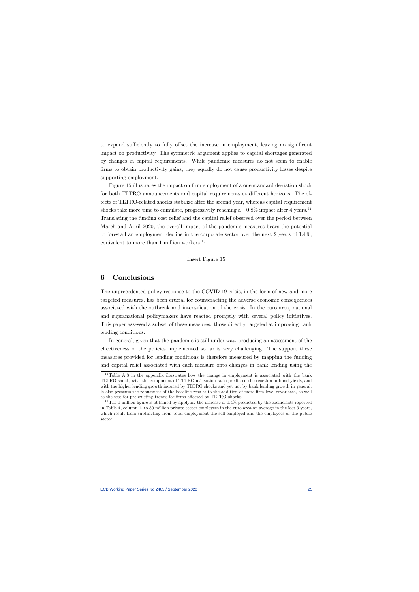to expand sufficiently to fully offset the increase in employment, leaving no significant impact on productivity. The symmetric argument applies to capital shortages generated by changes in capital requirements. While pandemic measures do not seem to enable firms to obtain productivity gains, they equally do not cause productivity losses despite supporting employment.

Figure 15 illustrates the impact on firm employment of a one standard deviation shock for both TLTRO announcements and capital requirements at different horizons. The effects of TLTRO-related shocks stabilize after the second year, whereas capital requirement shocks take more time to cumulate, progressively reaching a  $-0.8\%$  impact after 4 years.<sup>12</sup> Translating the funding cost relief and the capital relief observed over the period between March and April 2020, the overall impact of the pandemic measures bears the potential to forestall an employment decline in the corporate sector over the next 2 years of 14%, equivalent to more than 1 million workers.<sup>13</sup>

#### Insert Figure 15

### 6 Conclusions

The unprecedented policy response to the COVID-19 crisis, in the form of new and more targeted measures, has been crucial for counteracting the adverse economic consequences associated with the outbreak and intensification of the crisis. In the euro area, national and supranational policymakers have reacted promptly with several policy initiatives. This paper assessed a subset of these measures: those directly targeted at improving bank lending conditions.

In general, given that the pandemic is still under way, producing an assessment of the effectiveness of the policies implemented so far is very challenging. The support these measures provided for lending conditions is therefore measured by mapping the funding and capital relief associated with each measure onto changes in bank lending using the

 $12$ Table A.3 in the appendix illustrates how the change in employment is associated with the bank TLTRO shock, with the component of TLTRO utilisation ratio predicted the reaction in bond yields, and with the higher lending growth induced by TLTRO shocks and yet not by bank lending growth in general. It also presents the robustness of the baseline results to the addition of more firm-level covariates, as well as the test for pre-existing trends for firms affected by TLTRO shocks.

<sup>&</sup>lt;sup>13</sup>The 1 million figure is obtained by applying the increase of  $1.4\%$  predicted by the coefficients reported in Table 4, column 1, to 80 million private sector employees in the euro area on average in the last 3 years, which result from subtracting from total employment the self-employed and the employees of the public sector.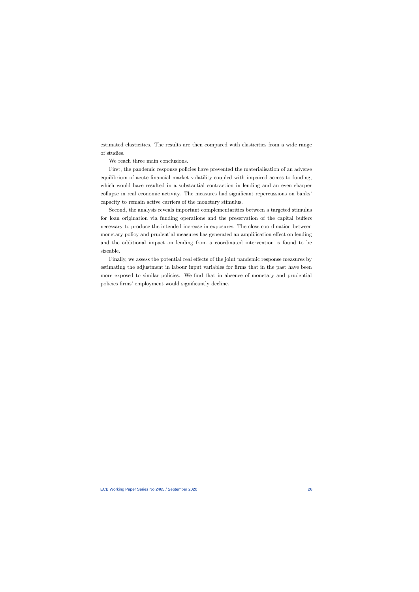estimated elasticities. The results are then compared with elasticities from a wide range of studies.

We reach three main conclusions.

First, the pandemic response policies have prevented the materialisation of an adverse equilibrium of acute financial market volatility coupled with impaired access to funding, which would have resulted in a substantial contraction in lending and an even sharper collapse in real economic activity. The measures had significant repercussions on banks' capacity to remain active carriers of the monetary stimulus.

Second, the analysis reveals important complementarities between a targeted stimulus for loan origination via funding operations and the preservation of the capital buffers necessary to produce the intended increase in exposures. The close coordination between monetary policy and prudential measures has generated an amplification effect on lending and the additional impact on lending from a coordinated intervention is found to be sizeable.

Finally, we assess the potential real effects of the joint pandemic response measures by estimating the adjustment in labour input variables for firms that in the past have been more exposed to similar policies. We find that in absence of monetary and prudential policies firms' employment would significantly decline.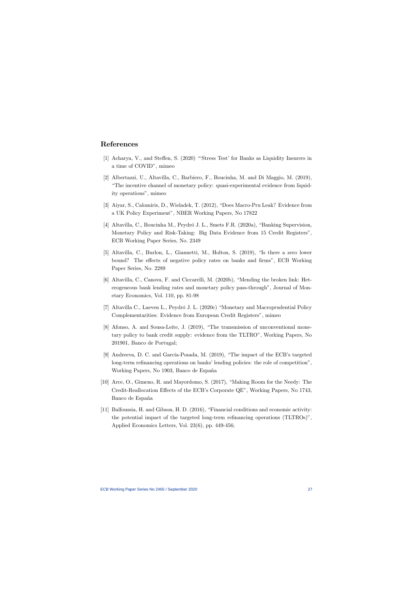# References

- [1] Acharya, V., and Steffen, S. (2020) "'Stress Test' for Banks as Liquidity Insurers in a time of COVID", mimeo
- [2] Albertazzi, U., Altavilla, C., Barbiero, F., Boucinha, M. and Di Maggio, M. (2019), "The incentive channel of monetary policy: quasi-experimental evidence from liquidity operations", mimeo
- [3] Aiyar, S., Calomiris, D., Wieladek, T. (2012), "Does Macro-Pru Leak? Evidence from a UK Policy Experiment", NBER Working Papers, No 17822
- [4] Altavilla, C., Boucinha M., Peydró J. L., Smets F.R. (2020a), "Banking Supervision, Monetary Policy and Risk-Taking: Big Data Evidence from 15 Credit Registers", ECB Working Paper Series, No. 2349
- [5] Altavilla, C., Burlon, L., Giannetti, M., Holton, S. (2019), "Is there a zero lower bound? The effects of negative policy rates on banks and firms", ECB Working Paper Series, No. 2289
- [6] Altavilla, C., Canova, F. and Ciccarelli, M. (2020b), "Mending the broken link: Heterogeneous bank lending rates and monetary policy pass-through", Journal of Monetary Economics, Vol. 110, pp. 81-98
- [7] Altavilla C., Laeven L., Peydró J. L. (2020c) "Monetary and Macroprudential Policy Complementarities: Evidence from European Credit Registers", mimeo
- [8] Afonso, A. and Sousa-Leite, J. (2019), "The transmission of unconventional monetary policy to bank credit supply: evidence from the TLTRO", Working Papers, No 201901, Banco de Portugal;
- [9] Andreeva, D. C. and García-Posada, M. (2019), "The impact of the ECB's targeted long-term refinancing operations on banks' lending policies: the role of competition", Working Papers, No 1903, Banco de España
- [10] Arce, O., Gimeno, R. and Mayordomo, S. (2017), "Making Room for the Needy: The Credit-Reallocation Effects of the ECB's Corporate QE", Working Papers, No 1743, Banco de España
- [11] Balfoussia, H. and Gibson, H. D. (2016), "Financial conditions and economic activity: the potential impact of the targeted long-term refinancing operations (TLTROs)", Applied Economics Letters, Vol. 23(6), pp. 449-456;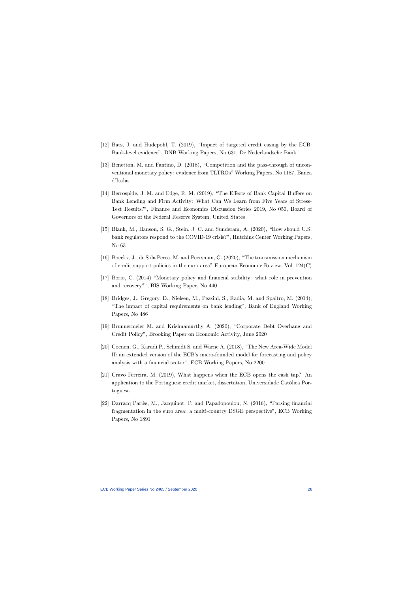- [12] Bats, J. and Hudepohl, T. (2019), "Impact of targeted credit easing by the ECB: Bank-level evidence", DNB Working Papers, No 631, De Nederlandsche Bank
- [13] Benetton, M. and Fantino, D. (2018), "Competition and the pass-through of unconventional monetary policy: evidence from TLTROs" Working Papers, No 1187, Banca d'Italia
- [14] Berrospide, J. M. and Edge, R. M. (2019), "The Effects of Bank Capital Buffers on Bank Lending and Firm Activity: What Can We Learn from Five Years of Stress-Test Results?", Finance and Economics Discussion Series 2019, No 050, Board of Governors of the Federal Reserve System, United States
- [15] Blank, M., Hanson, S. G., Stein, J. C. and Sunderam, A. (2020), "How should U.S. bank regulators respond to the COVID-19 crisis?", Hutchins Center Working Papers, No 63
- [16] Boeckx, J., de Sola Perea, M. and Peersman, G. (2020), "The transmission mechanism of credit support policies in the euro area" European Economic Review, Vol. 124(C)
- [17] Borio, C. (2014) "Monetary policy and financial stability: what role in prevention and recovery?", BIS Working Paper, No 440
- [18] Bridges, J., Gregory, D., Nielsen, M., Pezzini, S., Radia, M. and Spaltro, M. (2014), "The impact of capital requirements on bank lending", Bank of England Working Papers, No 486
- [19] Brunnermeier M. and Krishnamurthy A. (2020), "Corporate Debt Overhang and Credit Policy", Brooking Paper on Economic Activity, June 2020
- [20] Coenen, G., Karadi P., Schmidt S. and Warne A. (2018), "The New Area-Wide Model II: an extended version of the ECB's micro-founded model for forecasting and policy analysis with a financial sector", ECB Working Papers, No 2200
- [21] Cravo Ferreira, M. (2019), What happens when the ECB opens the cash tap? An application to the Portuguese credit market, dissertation, Universidade Católica Portuguesa
- [22] Darracq Pariès, M., Jacquinot, P. and Papadopoulou, N. (2016), "Parsing financial fragmentation in the euro area: a multi-country DSGE perspective", ECB Working Papers, No 1891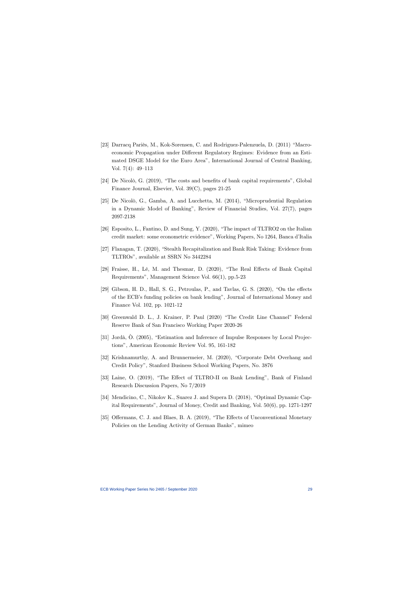- [23] Darracq Pariès, M., Kok-Sorensen, C. and Rodriguez-Palenzuela, D. (2011) "Macroeconomic Propagation under Different Regulatory Regimes: Evidence from an Estimated DSGE Model for the Euro Area", International Journal of Central Banking, Vol. 7(4): 49—113
- [24] De Nicolò, G. (2019), "The costs and benefits of bank capital requirements", Global Finance Journal, Elsevier, Vol. 39(C), pages 21-25
- [25] De Nicolò, G., Gamba, A. and Lucchetta, M. (2014), "Microprudential Regulation in a Dynamic Model of Banking", Review of Financial Studies, Vol. 27(7), pages 2097-2138
- [26] Esposito, L., Fantino, D. and Sung, Y. (2020), "The impact of TLTRO2 on the Italian credit market: some econometric evidence", Working Papers, No 1264, Banca d'Italia
- [27] Flanagan, T. (2020), "Stealth Recapitalization and Bank Risk Taking: Evidence from TLTROs", available at SSRN No 3442284
- [28] Fraisse, H., Lé, M. and Thesmar, D. (2020), "The Real Effects of Bank Capital Requirements", Management Science Vol. 66(1), pp.5-23
- [29] Gibson, H. D., Hall, S. G., Petroulas, P., and Tavlas, G. S. (2020), "On the effects of the ECB's funding policies on bank lending", Journal of International Money and Finance Vol. 102, pp. 1021-12
- [30] Greenwald D. L., J. Krainer, P. Paul (2020) "The Credit Line Channel" Federal Reserve Bank of San Francisco Working Paper 2020-26
- [31] Jordà, Ò. (2005), "Estimation and Inference of Impulse Responses by Local Projections", American Economic Review Vol. 95, 161-182
- [32] Krishnamurthy, A. and Brunnermeier, M. (2020), "Corporate Debt Overhang and Credit Policy", Stanford Business School Working Papers, No. 3876
- [33] Laine, O. (2019), "The Effect of TLTRO-II on Bank Lending", Bank of Finland Research Discussion Papers, No 7/2019
- [34] Mendicino, C., Nikolov K., Suarez J. and Supera D. (2018), "Optimal Dynamic Capital Requirements", Journal of Money, Credit and Banking, Vol. 50(6), pp. 1271-1297
- [35] Offermans, C. J. and Blaes, B. A. (2019), "The Effects of Unconventional Monetary Policies on the Lending Activity of German Banks", mimeo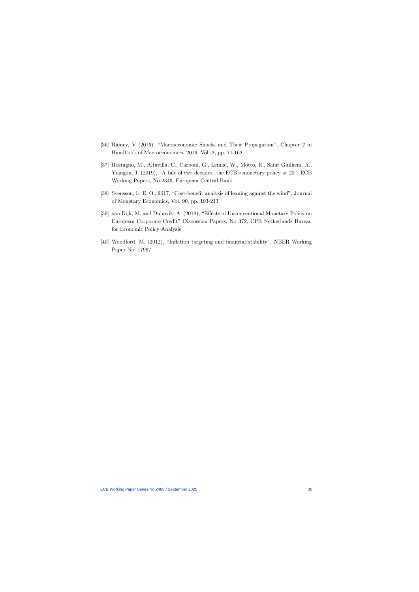- [36] Ramey, V (2016), "Macroeconomic Shocks and Their Propagation", Chapter 2 in Handbook of Macroeconomics, 2016, Vol. 2, pp. 71-162
- [37] Rostagno, M., Altavilla, C., Carboni, G., Lemke, W., Motto, R., Saint Guilhem, A., Yiangou, J. (2019), "A tale of two decades: the ECB's monetary policy at 20", ECB Working Papers, No 2346, European Central Bank
- [38] Svensson, L. E. O., 2017, "Cost-benefit analysis of leaning against the wind", Journal of Monetary Economics, Vol. 90, pp. 193-213
- [39] van Dijk, M. and Dubovik, A. (2018), "Effects of Unconventional Monetary Policy on European Corporate Credit" Discussion Papers, No 372, CPB Netherlands Bureau for Economic Policy Analysis
- [40] Woodford, M. (2012), "Inflation targeting and financial stability", NBER Working Paper No. 17967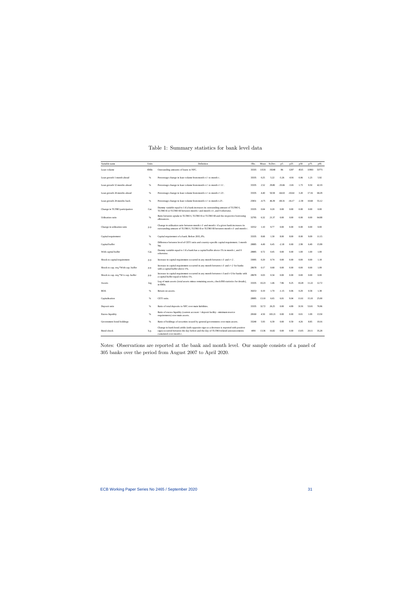| Variable name                       | Units | Definition                                                                                                                                                                                            | Obs.  | Mean    | St.Dev. | p5       | p25      | p50     | p75   | p95   |
|-------------------------------------|-------|-------------------------------------------------------------------------------------------------------------------------------------------------------------------------------------------------------|-------|---------|---------|----------|----------|---------|-------|-------|
| Loan volume                         | €Mln  | Outstanding amounts of loans to NFC.                                                                                                                                                                  | 33335 | 11531   | 19248   | 86       | 1207     | 4515    | 11993 | 53771 |
| Loan growth 1 month ahead           | $\%$  | Percentage change in loan volume from month $t-1$ to month $t$ .                                                                                                                                      | 33335 | 0.25    | 5.22    | $-5.26$  | $-0.91$  | 0.06    | 1.23  | 5.92  |
| Loan growth 12 months ahead         | $\%$  | Percentage change in loan volume from month $t-1$ to month $t+11$ .                                                                                                                                   | 33335 | 2.52    | 29.80   | $-33.66$ | $-5.81$  | 1.73    | 9.50  | 42.19 |
| Loan growth 24 months ahead         | %     | Percentage change in loan volume from month $t-1$ to month $t+23$ .                                                                                                                                   | 33335 | 4.40    | 50.58   | $-64.63$ | $-10.64$ | 3.20    | 17.16 | 68.29 |
| Loan growth 24 months back          | $\%$  | Percentage change in loan volume from month $t$ - $I$ to month $t$ - $25$ .                                                                                                                           | 25851 | $-4.75$ | 46.39   | $-69.31$ | $-16.17$ | $-2.39$ | 10.68 | 55.12 |
| Change in TLTRO participation       | Cat.  | Dummy variable equal to 1 if a bank increases its outstanding amount of TLTRO I,<br>TLTRO II or TLTRO III between month $t$ and month $t-3$ , and 0 otherwise.                                        | 33335 | 0.04    | 0.20    | 0.00     | 0.00     | 0.00    | 0.00  | 0.00  |
| Utilisation ratio                   | %     | Ratio between uptake in TLTRO I, TLTRO II or TLTRO III and the respective borrowing<br>allowances.                                                                                                    | 32795 | 6.32    | 21.37   | 0.00     | 0.00     | 0.00    | 0.00  | 64.88 |
| Change in utilisation ratio         | p.p.  | Change in utilisation ratio between month $t-3$ and month t if a given bank increases its<br>outstanding amount of TLTRO I, TLTRO II or TLTRO III between month $t$ -3 and month $t$ .                | 32552 | 1.10    | 9.77    | 0.00     | 0.00     | 0.00    | 0.00  | 0.00  |
| Capital requirement                 | %     | Capital requirement of a bank. Before 2015, 8%.                                                                                                                                                       | 33335 | 8.68    | 1.30    | 8.00     | 8.00     | 8.00    | 9.09  | 11.15 |
| Capital buffer                      | $\%$  | Difference between level of CET1 ratio and country-specific capital requirement. 1 month<br>lag.                                                                                                      | 28885 | 4.49    | 6.45    | $-2.18$  | 0.69     | 2.99    | 6.49  | 15.99 |
| With capital buffer                 | Cat.  | Dummy variable equal to 1 if a bank has a capital buffer above 1% in month $t$ , and 0<br>otherwise.                                                                                                  |       | 0.72    | 0.45    | 0.00     | 0.00     | 1.00    | 1.00  | 1.00  |
| Shock to capital requirement        | p.p.  | Increase in capital requirement occurred in any month between $t-3$ and $t+2$ .                                                                                                                       | 33095 | 0.20    | 0.74    | 0.00     | 0.00     | 0.00    | 0.00  | 1.18  |
| Shock to cap. req.*With cap. buffer | p.p.  | Increase in capital requirement occurred in any month between $t-3$ and $t+2$ for banks<br>with a capital buffer above 1%.                                                                            | 28678 | 0.17    | 0.68    | 0.00     | 0.00     | 0.00    | 0.00  | 1.09  |
| Shock to cap. req.*W/o cap. buffer  | p.p.  | Increase in capital requirement occurred in any month between t-3 and t+2 for banks with<br>a capital buffer equal or below 1%.                                                                       | 28678 | 0.03    | 0.34    | 0.00     | 0.00     | 0.00    | 0.00  | 0.00  |
| Assets                              | log   | Log of main assets (total assets minus remaining assets, check BSI statistics for details),<br>in €Mln.                                                                                               | 33335 | 10.23   | 1.46    | 7.86     | 9.25     | 10.28   | 11.22 | 12.72 |
| <b>ROA</b>                          | %     | Return on assets.                                                                                                                                                                                     | 30253 | 0.19    | 1.70    | $-1.15$  | 0.06     | 0.29    | 0.58  | 1.38  |
| Capitalisation                      | %     | CET1 ratio.                                                                                                                                                                                           | 28885 | 13.10   | 6.65    | 6.01     | 9.04     | 11.61   | 15.10 | 25.00 |
| Deposit ratio                       | %     | Ratio of total deposits to NFC over main liabilities.                                                                                                                                                 | 33335 | 32.72   | 26.25   | 0.00     | 4.89     | 31.91   | 53.01 | 76.96 |
| Excess liquidity                    | %     | Ratio of excess liquidity (current account + deposit facility - minimum reserve<br>requirements) over main assets.                                                                                    |       | 4.50    | 103.21  | 0.00     | 0.00     | 0.01    | 1.09  | 13.50 |
| Government bond holdings            | %     | Ratio of holdings of securities issued by general governments over main assets.                                                                                                                       | 33240 | 5.93    | 6.39    | 0.00     | 0.59     | 4.26    | 8.85  | 19.16 |
| Bond shock                          | b.p.  | Change in bank bond yields (with opposite sign so a decrease is reported with positive<br>sign) occurred between the day before and the day of TLTRO-related announcements<br>cumulated over month t. | 4091  | 13.36   | 16.82   | 0.00     | 0.00     | 13.05   | 20.11 | 35.28 |

# Table 1: Summary statistics for bank level data

Notes: Observations are reported at the bank and month level. Our sample consists of a panel of 305 banks over the period from August 2007 to April 2020.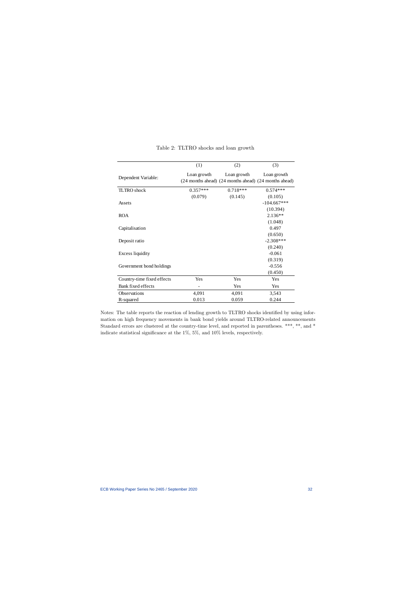|                            | (1)         | (2)                                                                  | (3)           |
|----------------------------|-------------|----------------------------------------------------------------------|---------------|
| Dependent Variable:        | Loan growth | Loan growth<br>(24 months ahead) (24 months ahead) (24 months ahead) | Loan growth   |
| <b>TLTRO</b> shock         | $0.357***$  | $0.718***$                                                           | $0.574***$    |
|                            | (0.079)     | (0.145)                                                              | (0.105)       |
| Assets                     |             |                                                                      | $-104.667***$ |
|                            |             |                                                                      | (10.394)      |
| <b>ROA</b>                 |             |                                                                      | $2.136**$     |
|                            |             |                                                                      | (1.048)       |
| Capitalisation             |             |                                                                      | 0.497         |
|                            |             |                                                                      | (0.650)       |
| Deposit ratio              |             |                                                                      | $-2.308***$   |
|                            |             |                                                                      | (0.240)       |
| <b>Excess liquidity</b>    |             |                                                                      | $-0.061$      |
|                            |             |                                                                      | (0.319)       |
| Government bond holdings   |             |                                                                      | $-0.556$      |
|                            |             |                                                                      | (0.450)       |
| Country-time fixed effects | Yes         | Yes                                                                  | Yes           |
| Bank fixed effects         |             | Yes                                                                  | Yes           |
| Observations               | 4,091       | 4,091                                                                | 3,543         |
| R-squared                  | 0.013       | 0.059                                                                | 0.244         |

|  | Table 2: TLTRO shocks and loan growth |  |  |  |  |
|--|---------------------------------------|--|--|--|--|
|--|---------------------------------------|--|--|--|--|

Notes: The table reports the reaction of lending growth to TLTRO shocks identified by using information on high frequency movements in bank bond yields around TLTRO-related announcements Standard errors are clustered at the country-time level, and reported in parentheses. \*\*\*, \*\*, and \* indicate statistical significance at the 1%, 5%, and 10% levels, respectively.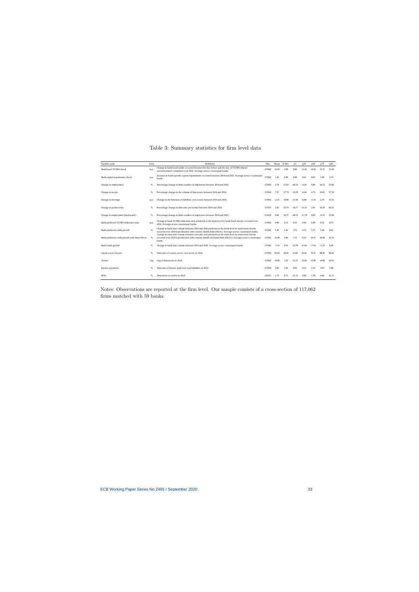| Variable name                                   | Units | Definition                                                                                                                                                                                                            | Obs.   |         | Mean St.Dev. | p5       | p25      | p50     | p75     | p95   |
|-------------------------------------------------|-------|-----------------------------------------------------------------------------------------------------------------------------------------------------------------------------------------------------------------------|--------|---------|--------------|----------|----------|---------|---------|-------|
| Bank bond TLTRO shock                           | b.p.  | Change in bank bond yields occurred between the day before and the day of TLTRO-related<br>announcements cumulated over 2014. Average across counterpart banks.                                                       | 117062 | 14.59   | 3.98         | 9.96     | 13.26    | 14.43   | 15.31   | 22.50 |
| Bank capital requirement shock                  | p.p.  | Increase in bank-specific capital requirements occurred between 2014 and 2015. Average across counterpart<br>banks.                                                                                                   | 117062 | 1.02    | 0.89         | 0.00     | 0.61     | 0.83    | 1.00    | 3.33  |
| Change in employment                            | %     | Percentage change in firm's number of employees between 2014 and 2016.                                                                                                                                                | 117062 | 5.74    | 27.83        | $-40.55$ | $-3.26$  | 0.00    | 18.23   | 53.90 |
| Change in assets                                | %     | Percentage change in the volume of firm assets between 2014 and 2016.                                                                                                                                                 | 117062 | 7.57    | 27.79        | $-33.29$ | $-6.40$  | 4.73    | 19.65   | 57.54 |
| Change in leverage                              | p.p.  | Change in the firm ratio of liabilities over assets between 2014 and 2016.                                                                                                                                            | 117062 | $-2.16$ | 10.98        | $-21.04$ | $-6.98$  | $-1.33$ | 2.74    | 15.52 |
| Change in productivity                          | %     | Percentage change in firm sales per worker between 2014 and 2016.                                                                                                                                                     | 117025 | 2.82    | 35.70        | $-54.77$ | $-13.31$ | 2.81    | 19.29   | 60.25 |
| Change in employment (backwards)                | %     | Percentage change in firm's number of employees between 2014 and 2012.                                                                                                                                                | 113242 | 0.68    | 30.37        | $-49.53$ | $-11.78$ | 0.00    | 13.35   | 51.08 |
| Bank predicted TLTRO utilisation ratio          | p.p.  | Change in bank TLTRO utilisation ratio predicted at the bank level by bank bond shocks occurred over<br>2014. Average across counterpart banks.                                                                       | 117062 | 0.49    | 0.13         | 0.33     | 0.44     | 0.48    | 0.51    | 0.75  |
| Bank predicted credit growth                    | 96    | Change in bank loan volume between 2014 and 2016 predicted at the bank level by bank bond shocks<br>occurred over 2014 (specification with country-month fixed effects). Average across counterpart banks.            | 117062 | 5.20    | 1.42         | 3.55     | 4.73     | 5.15    | 5.46    | 8.02  |
| Bank predicted credit growth with fixed effects | %     | Change in bank loan volume between 2014 and 2016 predicted at the bank level by bank bond shocks<br>occurred over 2014 (specification with country-month and bank fixed effects). Average across counterpart<br>hanks | 117062 | 10.48   | 2.86         | 7.15     | 9.52     | 10.37   | 10.99   | 16.16 |
| Bank credit growth                              | %     | Change in bank loan volume between 2014 and 2016. Average across counterpart banks.                                                                                                                                   | 117062 | $-7.14$ | 9.23         | $-22.78$ | $-13.62$ | $-7.24$ | $-2.35$ | 6.66  |
| Liquid assets/Assets                            | %     | Firm ratio of current assets over assets in 2014.                                                                                                                                                                     | 117062 | 65.04   | 26.92        | 12.84    | 45.92    | 70.31   | 88.46   | 98.64 |
| Assets                                          | log   | Log of firm as sets in 2014.                                                                                                                                                                                          | 117062 | 14.08   | 1.53         | 11.75    | 13.06    | 13.96   | 14.96   | 16.91 |
| Interest payments                               | %     | Firm ratio of interest paid over total liabilities in 2014.                                                                                                                                                           | 117050 | 2.06    | 2.06         | 0.03     | 0.53     | 1.52    | 2.95    | 5.98  |
| <b>ROA</b>                                      |       | Firm return on assets in 2014.                                                                                                                                                                                        | 116327 | 1.74    | 8.71         | $-12.15$ | 0.09     | 1.39    | 4.66    | 15.11 |

# Table 3: Summary statistics for firm level data

Notes: Observations are reported at the firm level. Our sample consists of a cross-section of 117,062 firms matched with 59 banks.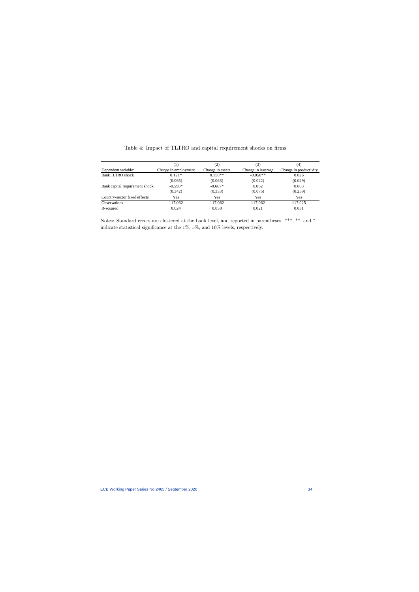|                                |                      | $\left( 2\right)$ | 3)                 | (4)                    |
|--------------------------------|----------------------|-------------------|--------------------|------------------------|
| Dependent variable:            | Change in employment | Change in assets  | Change in leverage | Change in productivity |
| <b>Bank TLTRO</b> shock        | $0.121*$             | $0.150**$         | $-0.050**$         | 0.026                  |
|                                | (0.065)              | (0.063)           | (0.022)            | (0.029)                |
| Bank capital requirement shock | $-0.598*$            | $-0.667*$         | 0.062              | 0.063                  |
|                                | (0.342)              | (0.333)           | (0.075)            | (0.259)                |
| Country-sector fixed effects   | Yes                  | Yes               | Yes                | Yes                    |
| <b>Observations</b>            | 117,062              | 117,062           | 117,062            | 117,025                |
| R-squared                      | 0.024                | 0.038             | 0.021              | 0.031                  |

| Table 4: Impact of TLTRO and capital requirement shocks on firms |  |  |  |  |
|------------------------------------------------------------------|--|--|--|--|
|------------------------------------------------------------------|--|--|--|--|

Notes: Standard errors are clustered at the bank level, and reported in parentheses. \*\*\*, \*\*, and \* indicate statistical significance at the 1%, 5%, and 10% levels, respectively.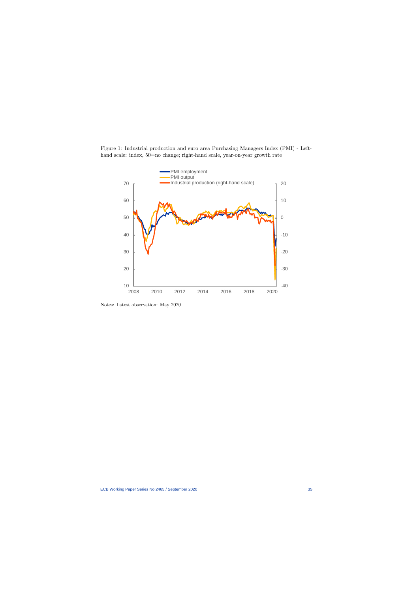Figure 1: Industrial production and euro area Purchasing Managers Index (PMI) - Lefthand scale: index, 50=no change; right-hand scale, year-on-year growth rate



Notes: Latest observation: May 2020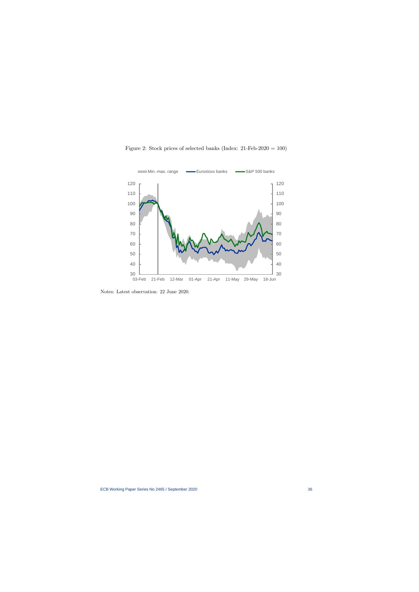



Notes: Latest observation: 22 June 2020.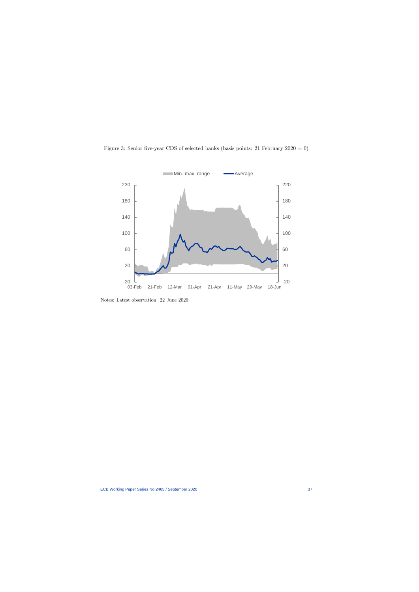

Figure 3: Senior five-year CDS of selected banks (basis points: 21 February 2020 = 0)

Notes: Latest observation: 22 June 2020.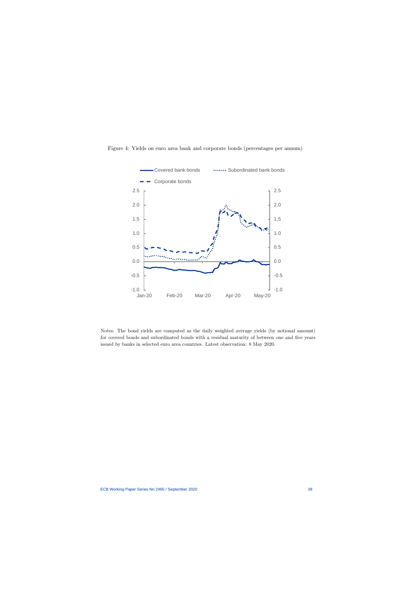

Figure 4: Yields on euro area bank and corporate bonds (percentages per annum)

Notes: The bond yields are computed as the daily weighted average yields (by notional amount) for covered bonds and subordinated bonds with a residual maturity of between one and five years issued by banks in selected euro area countries. Latest observation: 8 May 2020.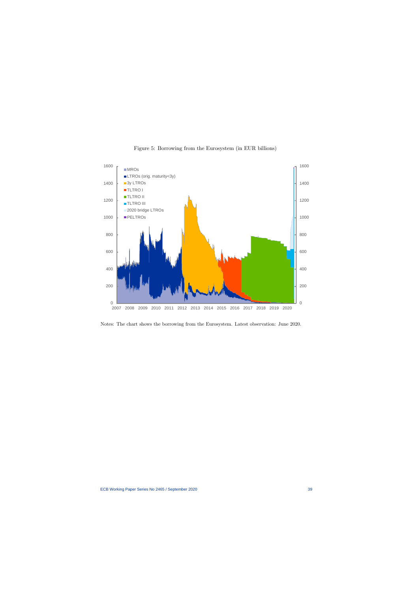

### Figure 5: Borrowing from the Eurosystem (in EUR billions)

Notes: The chart shows the borrowing from the Eurosystem. Latest observation: June 2020.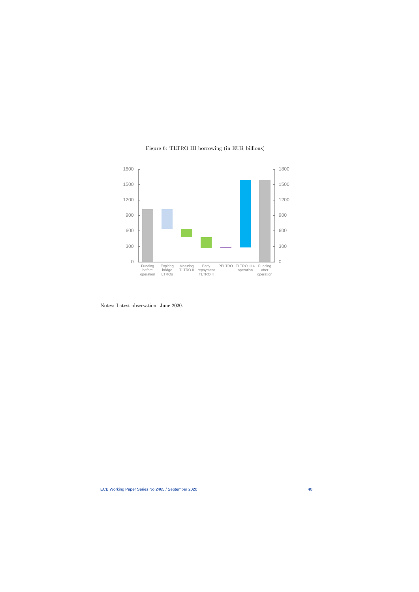

Figure 6: TLTRO III borrowing (in EUR billions)

Notes: Latest observation: June 2020.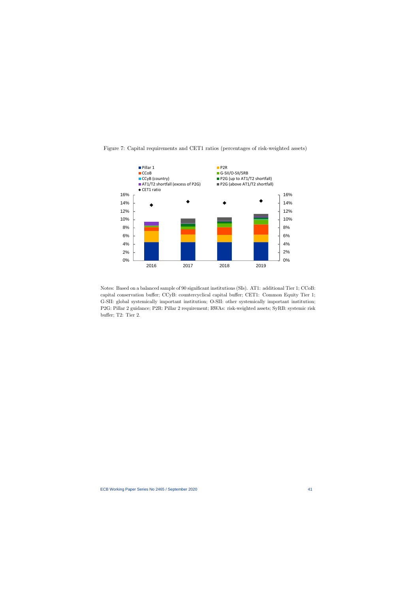

Figure 7: Capital requirements and CET1 ratios (percentages of risk-weighted assets)

Notes: Based on a balanced sample of 90 significant institutions (SIs). AT1: additional Tier 1; CCoB: capital conservation buffer; CCyB: countercyclical capital buffer; CET1: Common Equity Tier 1; G-SII: global systemically important institution; O-SII: other systemically important institution; P2G: Pillar 2 guidance; P2R: Pillar 2 requirement; RWAs: risk-weighted assets; SyRB: systemic risk buffer; T2: Tier 2.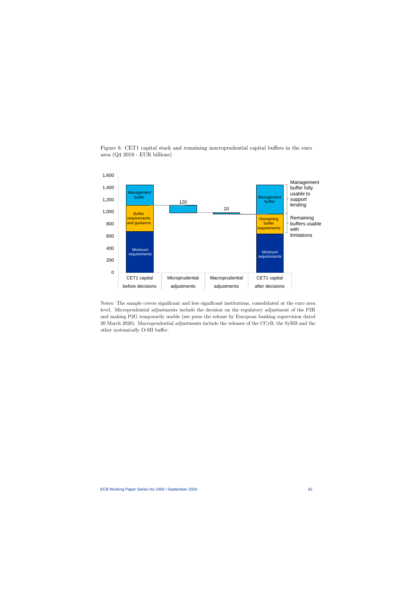

Figure 8: CET1 capital stack and remaining macroprudential capital buffers in the euro area (Q4 2019 - EUR billions)

Notes: The sample covers significant and less significant institutions, consolidated at the euro area level. Microprudential adjustments include the decision on the regulatory adjustment of the P2R and making P2G temporarily usable (see press the release by European banking supervision dated 20 March 2020). Macroprudential adjustments include the releases of the CCyB, the SyRB and the other systemically O-SII buffer.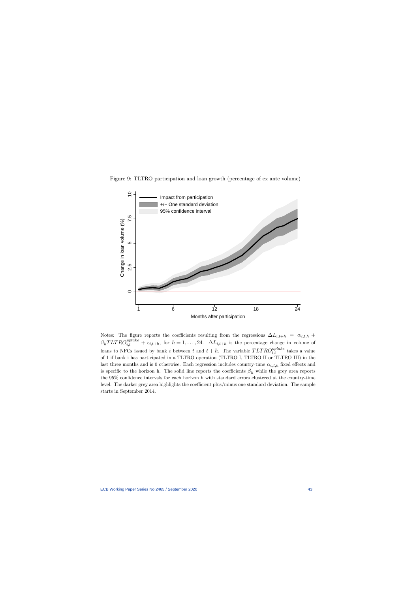



Notes: The figure reports the coefficients resulting from the regressions  $\Delta L_{i,t+h} = \alpha_{c,t,h} +$  $\beta_h T L T R O_{i,t}^{uptake} + \epsilon_{i,t+h}$ , for  $h = 1, \ldots, 24$ .  $\Delta L_{i,t+h}$  is the percentage change in volume of loans to NFCs issued by bank *i* between *t* and  $t + h$ . The variable  $TLTRO_{i,t}^{uptake}$  takes a value of 1 if bank i has participated in a TLTRO operation (TLTRO I, TLTRO II or TLTRO III) in the last three months and is 0 otherwise. Each regression includes country-time  $\alpha_{c,t,h}$  fixed effects and is specific to the horizon h. The solid line reports the coefficients  $\beta_h$  while the grey area reports the 95% confidence intervals for each horizon h with standard errors clustered at the country-time level. The darker grey area highlights the coefficient plus/minus one standard deviation. The sample starts in September 2014.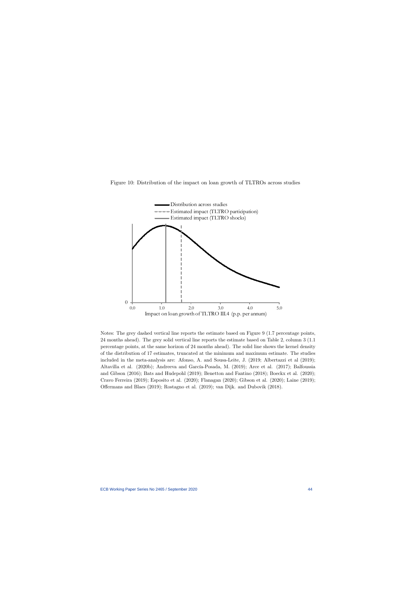



Notes: The grey dashed vertical line reports the estimate based on Figure 9 (1.7 percentage points, 24 months ahead). The grey solid vertical line reports the estimate based on Table 2, column 3 (1.1 percentage points, at the same horizon of 24 months ahead). The solid line shows the kernel density of the distribution of 17 estimates, truncated at the minimum and maximum estimate. The studies included in the meta-analysis are: Afonso, A. and Sousa-Leite, J. (2019; Albertazzi et al (2019); Altavilla et al. (2020b); Andreeva and García-Posada, M. (2019); Arce et al. (2017); Balfoussia and Gibson (2016); Bats and Hudepohl (2019); Benetton and Fantino (2018); Boeckx et al. (2020); Cravo Ferreira (2019); Esposito et al. (2020); Flanagan (2020); Gibson et al. (2020); Laine (2019); Offermans and Blaes (2019); Rostagno et al. (2019); van Dijk. and Dubovik (2018).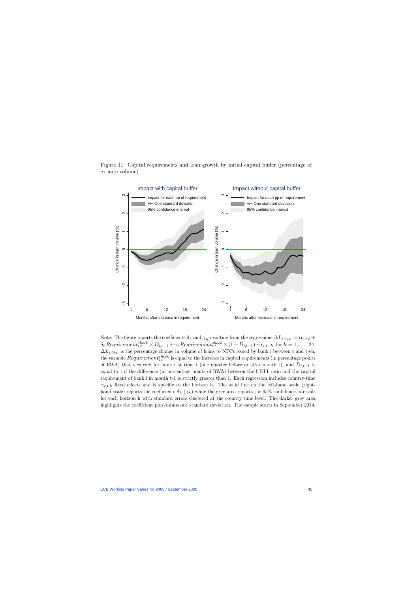

Figure 11: Capital requirements and loan growth by initial capital buffer (percentage of ex ante volume)

Note: The figure reports the coefficients  $\delta_h$  and  $\gamma_h$  resulting from the regressions  $\Delta L_{i,t+h} = \alpha_{c,t,h} +$  $\delta_h \text{Required}_{i,t}^{shock} \times D_{i,t-1} + \gamma_h \text{Required}_{i,t}^{shock} \times (1 - D_{i,t-1}) + \epsilon_{i,t+h}$ , for  $h = 1, \ldots, 24$ .  $\Delta L_{i,t+h}$  is the percentage change in volume of loans to NFCs issued by bank i between t and t+h, the variable  $Requirement_{i,t}^{shock}$  is equal to the increase in capital requirements (in percentage points of RWA) that occurred for bank i at time t (one quarter before or after month t), and  $D_{i,t-1}$  is equal to 1 if the difference (in percentage points of RWA) between the CET1 ratio and the capital requirement of bank i in month t-1 is strictly greater than 1. Each regression includes country-time  $\alpha_{c,t,h}$  fixed effects and is specific to the horizon h. The solid line on the left-hand scale (righthand scale) reports the coefficients  $\delta_h(\gamma_h)$  while the grey area reports the 95% confidence intervals for each horizon h with standard errors clustered at the country-time level. The darker grey area highlights the coefficient plus/minus one standard deviation. The sample starts in September 2014.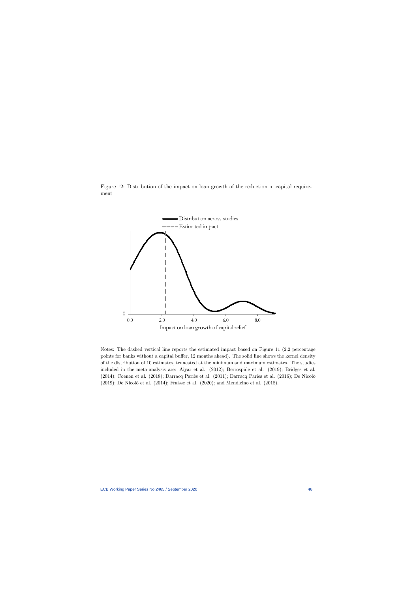



Notes: The dashed vertical line reports the estimated impact based on Figure 11 (2.2 percentage points for banks without a capital buffer, 12 months ahead). The solid line shows the kernel density of the distribution of 10 estimates, truncated at the minimum and maximum estimates. The studies included in the meta-analysis are: Aiyar et al. (2012); Berrospide et al. (2019); Bridges et al. (2014); Coenen et al. (2018); Darracq Pariès et al. (2011); Darracq Pariès et al. (2016); De Nicolò (2019); De Nicolò et al. (2014); Fraisse et al. (2020); and Mendicino et al. (2018).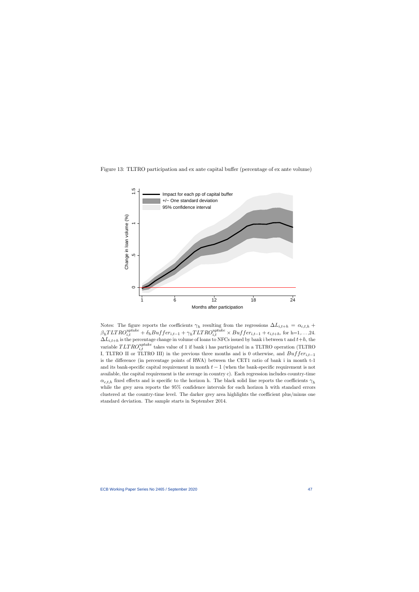

Figure 13: TLTRO participation and ex ante capital buffer (percentage of ex ante volume)

Notes: The figure reports the coefficients  $\gamma_h$  resulting from the regressions  $\Delta L_{i,t+h} = \alpha_{c,t,h} +$  $\beta_h T L T R O_{i,t}^{uptake} + \delta_h Buffer_{i,t-1} + \gamma_h T L T R O_{i,t}^{uptake} \times Buffer_{i,t-1} + \epsilon_{i,t+h}$ , for h=1,...,24.  $\Delta L_{i,t+h}$  is the percentage change in volume of loans to NFCs issued by bank i between t and  $t+h$ , the variable  $TLTRO^{uptake}_{i,t}$  takes value of 1 if bank i has participated in a TLTRO operation (TLTRO I, TLTRO II or TLTRO III) in the previous three months and is 0 otherwise, and  $Buffer_{i,t-1}$ is the difference (in percentage points of RWA) between the CET1 ratio of bank i in month t-1 and its bank-specific capital requirement in month  $t-1$  (when the bank-specific requirement is not available, the capital requirement is the average in country c). Each regression includes country-time  $\alpha_{c,t,h}$  fixed effects and is specific to the horizon h. The black solid line reports the coefficients  $\gamma_h$ while the grey area reports the 95% confidence intervals for each horizon h with standard errors clustered at the country-time level. The darker grey area highlights the coefficient plus/minus one standard deviation. The sample starts in September 2014.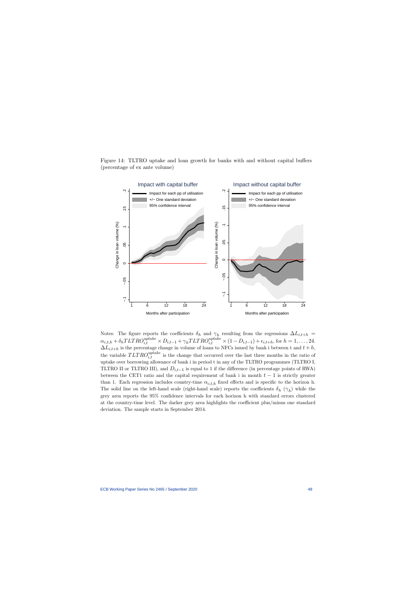Figure 14: TLTRO uptake and loan growth for banks with and without capital buffers (percentage of ex ante volume)



Notes: The figure reports the coefficients  $\delta_h$  and  $\gamma_h$  resulting from the regressions  $\Delta L_{i,t+h}$  $\alpha_{c,t,h} + \delta_h T L T R O_{i,t}^{uptake} \times D_{i,t-1} + \gamma_h T L T R O_{i,t}^{uptake} \times (1 - D_{i,t-1}) + \epsilon_{i,t+h}$ , for  $h = 1, \ldots, 24$ .  $\Delta L_{i,t+h}$  is the percentage change in volume of loans to NFCs issued by bank i between t and  $t+h$ , the variable  $TLTRO^{uptake}_{i,t}$  is the change that occurred over the last three months in the ratio of uptake over borrowing allowance of bank i in period t in any of the TLTRO programmes (TLTRO I, TLTRO II or TLTRO III), and  $D_{i,t-1}$  is equal to 1 if the difference (in percentage points of RWA) between the CET1 ratio and the capital requirement of bank i in month  $t-1$  is strictly greater than 1. Each regression includes country-time  $\alpha_{c,t,h}$  fixed effects and is specific to the horizon h. The solid line on the left-hand scale (right-hand scale) reports the coefficients  $\delta_h$  ( $\gamma_h$ ) while the grey area reports the 95% confidence intervals for each horizon h with standard errors clustered at the country-time level. The darker grey area highlights the coefficient plus/minus one standard deviation. The sample starts in September 2014.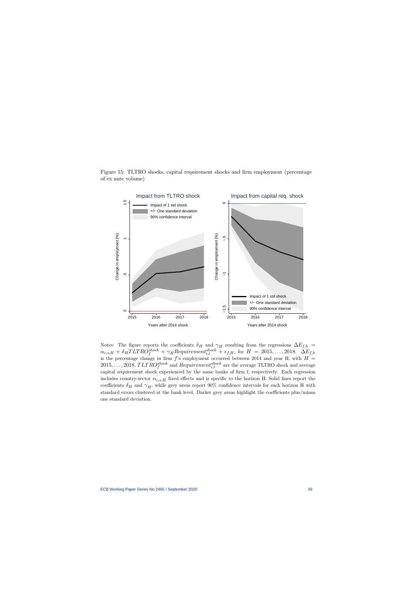Figure 15: TLTRO shocks, capital requirement shocks and firm employment (percentage of ex ante volume)



Notes: The figure reports the coefficients  $\delta_H$  and  $\gamma_H$  resulting from the regressions  $\Delta E_{f,h}$  =  $\alpha_{c,s,H} + \delta_H T L T R O_f^{shock} + \gamma_H Requirement_{i,t}^{shock} + \epsilon_{f,H}$ , for  $H = 2015, \ldots, 2018$ .  $\Delta E_{f,h}$ is the percentage change in firm  $f$ 's employment occurred between 2014 and year H, with  $H =$  $2015, \ldots, 2018, TLTRO_f^{shock}$  and  $Requirement_{i,t}^{shock}$  are the average TLTRO shock and average capital requirement shock experienced by the same banks of firm f, respectively. Each regression includes country-sector  $\alpha_{c,s,H}$  fixed effects and is specific to the horizon H. Solid lines report the coefficients  $\delta_H$  and  $\gamma_H$ , while grey areas report 90% confidence intervals for each horizon H with standard errors clustered at the bank level. Darker grey areas highlight the coefficients plus/minus one standard deviation.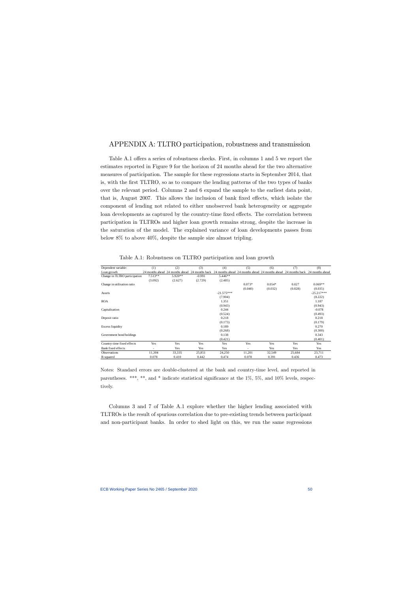### APPENDIX A: TLTRO participation, robustness and transmission

Table A.1 offers a series of robustness checks. First, in columns 1 and 5 we report the estimates reported in Figure 9 for the horizon of 24 months ahead for the two alternative measures of participation. The sample for these regressions starts in September 2014, that is, with the first TLTRO, so as to compare the lending patterns of the two types of banks over the relevant period. Columns 2 and 6 expand the sample to the earliest data point, that is, August 2007. This allows the inclusion of bank fixed effects, which isolate the component of lending not related to either unobserved bank heterogeneity or aggregate loan developments as captured by the country-time fixed effects. The correlation between participation in TLTROs and higher loan growth remains strong, despite the increase in the saturation of the model. The explained variance of loan developments passes from below 8% to above 40%, despite the sample size almost tripling.

| Dependent variable:           | (1)       | (2)                             | (3)            | (4)          | (5)      | (6)                                             | (7)            | (8)             |
|-------------------------------|-----------|---------------------------------|----------------|--------------|----------|-------------------------------------------------|----------------|-----------------|
| Loan growth                   |           | 24 months ahead 24 months ahead | 24 months back |              |          | 24 months ahead 24 months ahead 24 months ahead | 24 months back | 24 months ahead |
| Change in TLTRO participation | $7.513**$ | $5.920**$                       | $-0.991$       | 5.446**      |          |                                                 |                |                 |
|                               | (3.092)   | (2.627)                         | (2.729)        | (2.485)      |          |                                                 |                |                 |
| Change in utilisation ratio   |           |                                 |                |              | $0.073*$ | $0.054*$                                        | 0.027          | $0.069**$       |
|                               |           |                                 |                |              | (0.040)  | (0.032)                                         | (0.028)        | (0.035)         |
| Assets                        |           |                                 |                | $-21.575***$ |          |                                                 |                | $-25.217***$    |
|                               |           |                                 |                | (7.904)      |          |                                                 |                | (8.222)         |
| <b>ROA</b>                    |           |                                 |                | 1.351        |          |                                                 |                | 1.187           |
|                               |           |                                 |                | (0.943)      |          |                                                 |                | (0.943)         |
| Capitalisation                |           |                                 |                | 0.244        |          |                                                 |                | $-0.078$        |
|                               |           |                                 |                | (0.524)      |          |                                                 |                | (0.493)         |
| Deposit ratio                 |           |                                 |                | 0.218        |          |                                                 |                | 0.218           |
|                               |           |                                 |                | (0.173)      |          |                                                 |                | (0.179)         |
| <b>Excess liquidity</b>       |           |                                 |                | 0.189        |          |                                                 |                | 0.270           |
|                               |           |                                 |                | (0.268)      |          |                                                 |                | (0.300)         |
| Government bond holdings      |           |                                 |                | 0.138        |          |                                                 |                | 0.343           |
|                               |           |                                 |                | (0.421)      |          |                                                 |                | (0.401)         |
| Country-time fixed effects    | Yes       | Yes                             | Yes            | Yes          | Yes      | Yes                                             | Yes            | Yes             |
| Bank fixed effects            | ٠         | Yes                             | Yes            | Yes          | ٠        | Yes                                             | Yes            | Yes             |
| <b>Observations</b>           | 11,304    | 33,335                          | 25,851         | 24,250       | 11,201   | 32,549                                          | 25,684         | 23,711          |
| R-squared                     | 0.078     | 0.410                           | 0.442          | 0.474        | 0.078    | 0.391                                           | 0.436          | 0.473           |

Table A.1: Robustness on TLTRO participation and loan growth

Notes: Standard errors are double-clustered at the bank and country-time level, and reported in parentheses. \*\*\*, \*\*, and \* indicate statistical significance at the  $1\%$ ,  $5\%$ , and  $10\%$  levels, respectively.

Columns 3 and 7 of Table A.1 explore whether the higher lending associated with TLTROs is the result of spurious correlation due to pre-existing trends between participant and non-participant banks. In order to shed light on this, we run the same regressions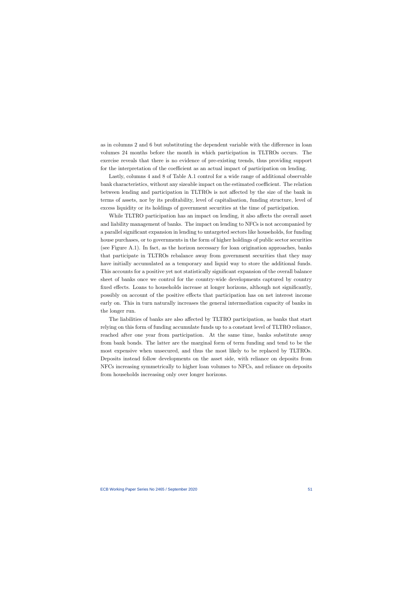as in columns 2 and 6 but substituting the dependent variable with the difference in loan volumes 24 months before the month in which participation in TLTROs occurs. The exercise reveals that there is no evidence of pre-existing trends, thus providing support for the interpretation of the coefficient as an actual impact of participation on lending.

Lastly, columns 4 and 8 of Table A.1 control for a wide range of additional observable bank characteristics, without any sizeable impact on the estimated coefficient. The relation between lending and participation in TLTROs is not affected by the size of the bank in terms of assets, nor by its profitability, level of capitalisation, funding structure, level of excess liquidity or its holdings of government securities at the time of participation.

While TLTRO participation has an impact on lending, it also affects the overall asset and liability management of banks. The impact on lending to NFCs is not accompanied by a parallel significant expansion in lending to untargeted sectors like households, for funding house purchases, or to governments in the form of higher holdings of public sector securities (see Figure A.1). In fact, as the horizon necessary for loan origination approaches, banks that participate in TLTROs rebalance away from government securities that they may have initially accumulated as a temporary and liquid way to store the additional funds. This accounts for a positive yet not statistically significant expansion of the overall balance sheet of banks once we control for the country-wide developments captured by country fixed effects. Loans to households increase at longer horizons, although not significantly, possibly on account of the positive effects that participation has on net interest income early on. This in turn naturally increases the general intermediation capacity of banks in the longer run.

The liabilities of banks are also affected by TLTRO participation, as banks that start relying on this form of funding accumulate funds up to a constant level of TLTRO reliance, reached after one year from participation. At the same time, banks substitute away from bank bonds. The latter are the marginal form of term funding and tend to be the most expensive when unsecured, and thus the most likely to be replaced by TLTROs. Deposits instead follow developments on the asset side, with reliance on deposits from NFCs increasing symmetrically to higher loan volumes to NFCs, and reliance on deposits from households increasing only over longer horizons.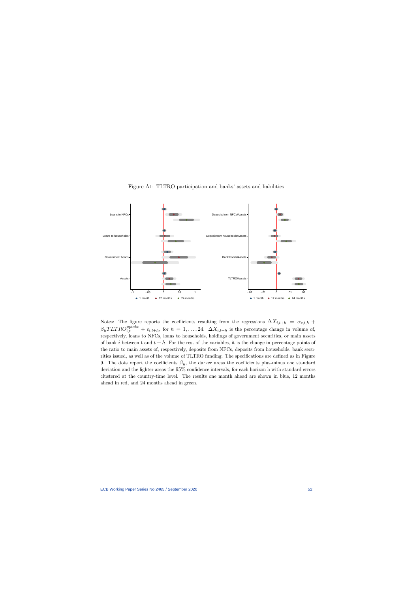

Figure A1: TLTRO participation and banks' assets and liabilities

Notes: The figure reports the coefficients resulting from the regressions  $\Delta X_{i,t+h} = \alpha_{c,t,h} +$  $\beta_h T L T R O_{i,t}^{uptake} + \epsilon_{i,t+h}$ , for  $h = 1, \ldots, 24$ .  $\Delta X_{i,t+h}$  is the percentage change in volume of, respectively, loans to NFCs, loans to households, holdings of government securities, or main assets of bank i between t and  $t + h$ . For the rest of the variables, it is the change in percentage points of the ratio to main assets of, respectively, deposits from NFCs, deposits from households, bank securities issued, as well as of the volume of TLTRO funding. The specifications are defined as in Figure 9. The dots report the coefficients  $\beta_h$ , the darker areas the coefficients plus-minus one standard deviation and the lighter areas the 95% confidence intervals, for each horizon h with standard errors clustered at the country-time level. The results one month ahead are shown in blue, 12 months ahead in red, and 24 months ahead in green.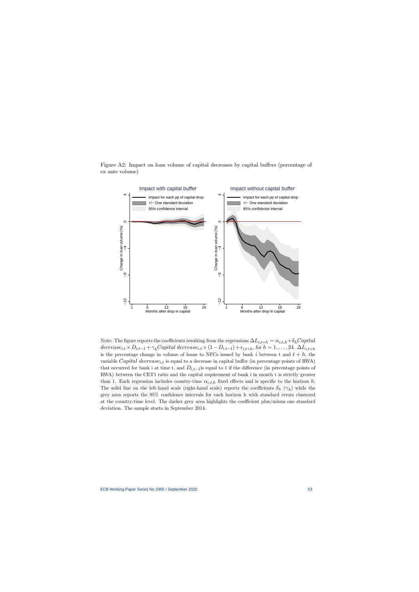Figure A2: Impact on loan volume of capital decreases by capital buffers (percentage of ex ante volume)



Note: The figure reports the coefficients resulting from the regressions  $\Delta L_{i,t+h} = \alpha_{c,t,h} + \delta_h Capital$  $decrease_{i,t} \times D_{i,t-1} + \gamma_h Capital\ decrease_{i,t} \times (1 - D_{i,t-1}) + \epsilon_{i,t+h}$ , for  $h = 1, \ldots, 24$ .  $\Delta L_{i,t+h}$ is the percentage change in volume of loans to NFCs issued by bank  $i$  between t and  $t + h$ , the variable *Capital decrease<sub>it</sub>* is equal to a decrease in capital buffer (in percentage points of RWA) that occurred for bank i at time t, and  $D_{i,t-1}$  is equal to 1 if the difference (in percentage points of RWA) between the CET1 ratio and the capital requirement of bank i in month t is strictly greater than 1. Each regression includes country-time  $\alpha_{c,t,h}$  fixed effects and is specific to the horizon h. The solid line on the left-hand scale (right-hand scale) reports the coefficients  $\delta_h$  ( $\gamma_h$ ) while the grey area reports the 95% confidence intervals for each horizon h with standard errors clustered at the country-time level. The darker grey area highlights the coefficient plus/minus one standard deviation. The sample starts in September 2014.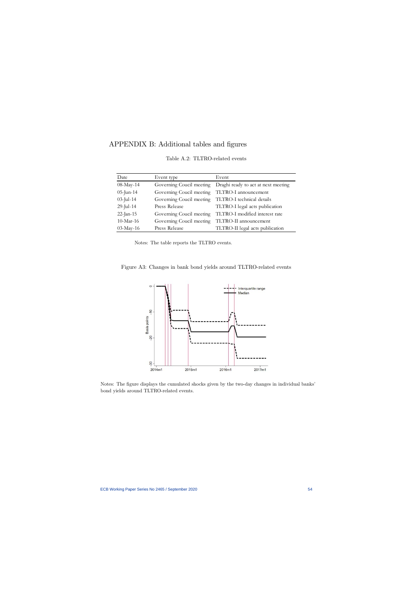# APPENDIX B: Additional tables and figures

| Date         | Event type                                         | Event                                                         |
|--------------|----------------------------------------------------|---------------------------------------------------------------|
| 08-May-14    |                                                    | Governing Coucil meeting  Draghi ready to act at next meeting |
| $05$ -Jun-14 | Governing Coucil meeting                           | TLTRO-I announcement                                          |
| $03$ -Jul-14 | Governing Coucil meeting TLTRO-I technical details |                                                               |
| $29$ -Jul-14 | Press Release                                      | TLTRO-I legal acts publication                                |
| $22$ -Jan-15 | Governing Coucil meeting                           | TLTRO-I modified interest rate                                |
| $10$ -Mar-16 | Governing Coucil meeting                           | TLTRO-II announcement                                         |
| 03-May-16    | Press Release                                      | TLTRO-II legal acts publication                               |

Table A.2: TLTRO-related events

Notes: The table reports the TLTRO events.

Figure A3: Changes in bank bond yields around TLTRO-related events



Notes: The figure displays the cumulated shocks given by the two-day changes in individual banks' bond yields around TLTRO-related events.